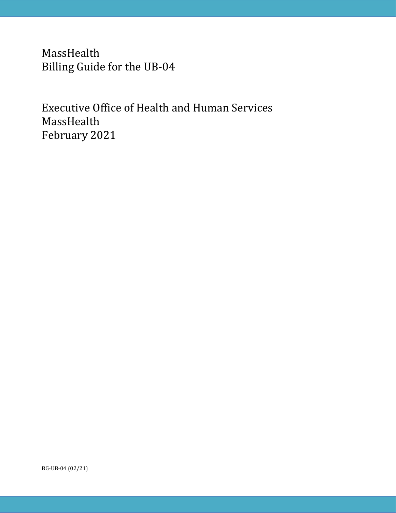MassHealth Billing Guide for the UB-04

Executive Office of Health and Human Services MassHealth February 2021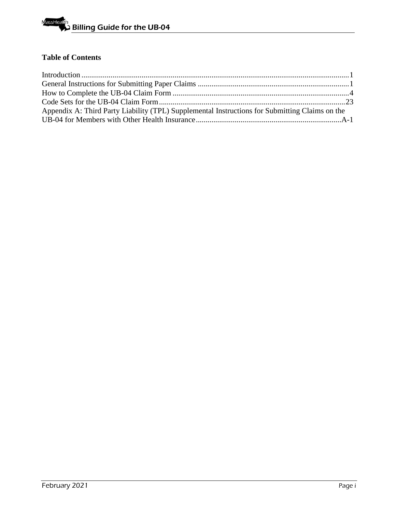### **Table of Contents**

| Appendix A: Third Party Liability (TPL) Supplemental Instructions for Submitting Claims on the |  |
|------------------------------------------------------------------------------------------------|--|
|                                                                                                |  |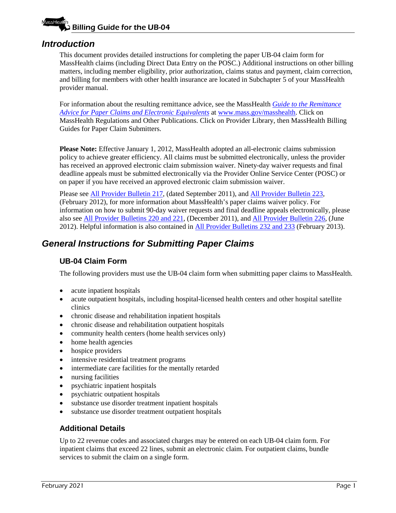# Billing Guide for the UB-04

### <span id="page-2-0"></span>*Introduction*

This document provides detailed instructions for completing the paper UB-04 claim form for MassHealth claims (including Direct Data Entry on the POSC.) Additional instructions on other billing matters, including member eligibility, prior authorization, claims status and payment, claim correction, and billing for members with other health insurance are located in Subchapter 5 of your MassHealth provider manual.

For information about the resulting remittance advice, see the MassHealth *[Guide to the Remittance](http://www.mass.gov/eohhs/docs/masshealth/provlibrary/newmmis-remittanceadvice.pdf)  [Advice for Paper Claims and Electronic Equivalents](http://www.mass.gov/eohhs/docs/masshealth/provlibrary/newmmis-remittanceadvice.pdf)* at [www.mass.gov/masshealth.](http://www.mass.gov/masshealth) Click on [MassHealth Regulations and Other Publications.](http://www.mass.gov/?pageID=eohhs2subtopic&L=4&L0=Home&L1=Government&L2=Laws%2c+Regulations+and+Policies&L3=MassHealth+Regulations+and+Other+Publications&sid=Eeohhs2) Click on Provider Library, then [MassHealth Billing](http://www.mass.gov/?pageID=eohhs2terminal&L=5&L0=Home&L1=Government&L2=Laws%2c+Regulations+and+Policies&L3=MassHealth+Regulations+and+Other+Publications&L4=Provider+Library&sid=Eeohhs2&b=terminalcontent&f=masshealth_government_mh_billing_guides_paperclaims&csid=Eeohhs2)  [Guides for Paper Claim Submitters.](http://www.mass.gov/?pageID=eohhs2terminal&L=5&L0=Home&L1=Government&L2=Laws%2c+Regulations+and+Policies&L3=MassHealth+Regulations+and+Other+Publications&L4=Provider+Library&sid=Eeohhs2&b=terminalcontent&f=masshealth_government_mh_billing_guides_paperclaims&csid=Eeohhs2)

Please Note: Effective January 1, 2012, MassHealth adopted an all-electronic claims submission policy to achieve greater efficiency. All claims must be submitted electronically, unless the provider has received an approved electronic claim submission waiver. Ninety-day waiver requests and final deadline appeals must be submitted electronically via the Provider Online Service Center (POSC) or on paper if you have received an approved electronic claim submission waiver.

Please see [All Provider Bulletin 217,](https://www.mass.gov/lists/all-provider-bulletins) (dated September 2011), and [All Provider Bulletin 223,](https://www.mass.gov/lists/all-provider-bulletins) (February 2012), for more information about MassHealth's paper claims waiver policy. For information on how to submit 90-day waiver requests and final deadline appeals electronically, please also see [All Provider Bulletins](https://www.mass.gov/lists/all-provider-bulletins) 220 and 221, (December 2011), an[d All Provider Bulletin 226,](https://www.mass.gov/lists/all-provider-bulletins) (June 2012). Helpful information is also contained i[n All Provider Bulletins 232 and 233](https://www.mass.gov/lists/all-provider-bulletins) (February 2013).

## <span id="page-2-1"></span>*General Instructions for Submitting Paper Claims*

### **UB-04 Claim Form**

The following providers must use the UB-04 claim form when submitting paper claims to MassHealth.

- acute inpatient hospitals
- acute outpatient hospitals, including hospital-licensed health centers and other hospital satellite clinics
- chronic disease and rehabilitation inpatient hospitals
- chronic disease and rehabilitation outpatient hospitals
- community health centers (home health services only)
- home health agencies
- hospice providers
- intensive residential treatment programs
- intermediate care facilities for the mentally retarded
- nursing facilities
- psychiatric inpatient hospitals
- psychiatric outpatient hospitals
- substance use disorder treatment inpatient hospitals
- substance use disorder treatment outpatient hospitals

### **Additional Details**

Up to 22 revenue codes and associated charges may be entered on each UB-04 claim form. For inpatient claims that exceed 22 lines, submit an electronic claim. For outpatient claims, bundle services to submit the claim on a single form.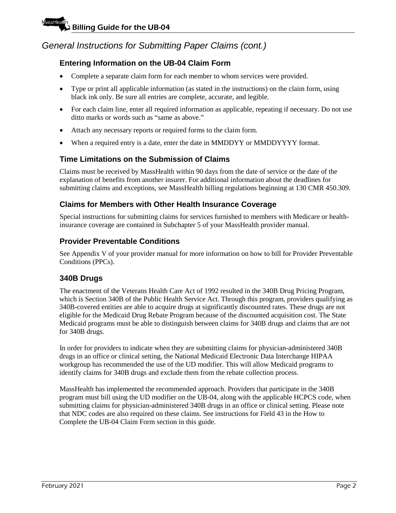## *General Instructions for Submitting Paper Claims (cont.)*

### **Entering Information on the UB-04 Claim Form**

- Complete a separate claim form for each member to whom services were provided.
- Type or print all applicable information (as stated in the instructions) on the claim form, using black ink only. Be sure all entries are complete, accurate, and legible.
- For each claim line, enter all required information as applicable, repeating if necessary. Do not use ditto marks or words such as "same as above."
- Attach any necessary reports or required forms to the claim form.
- When a required entry is a date, enter the date in MMDDYY or MMDDYYYY format.

### **Time Limitations on the Submission of Claims**

Claims must be received by MassHealth within 90 days from the date of service or the date of the explanation of benefits from another insurer. For additional information about the deadlines for submitting claims and exceptions, see MassHealth billing regulations beginning at 130 CMR 450.309.

### **Claims for Members with Other Health Insurance Coverage**

Special instructions for submitting claims for services furnished to members with Medicare or healthinsurance coverage are contained in Subchapter 5 of your MassHealth provider manual.

### **Provider Preventable Conditions**

See Appendix V of your provider manual for more information on how to bill for Provider Preventable Conditions (PPCs).

### **340B Drugs**

The enactment of the Veterans Health Care Act of 1992 resulted in the 340B Drug Pricing Program, which is Section 340B of the Public Health Service Act. Through this program, providers qualifying as 340B-covered entities are able to acquire drugs at significantly discounted rates. These drugs are not eligible for the Medicaid Drug Rebate Program because of the discounted acquisition cost. The State Medicaid programs must be able to distinguish between claims for 340B drugs and claims that are not for 340B drugs.

In order for providers to indicate when they are submitting claims for physician-administered 340B drugs in an office or clinical setting, the National Medicaid Electronic Data Interchange HIPAA workgroup has recommended the use of the UD modifier. This will allow Medicaid programs to identify claims for 340B drugs and exclude them from the rebate collection process.

MassHealth has implemented the recommended approach. Providers that participate in the 340B program must bill using the UD modifier on the UB-04, along with the applicable HCPCS code, when submitting claims for physician-administered 340B drugs in an office or clinical setting. Please note that NDC codes are also required on these claims. See instructions for Field 43 in the How to Complete the UB-04 Claim Form section in this guide.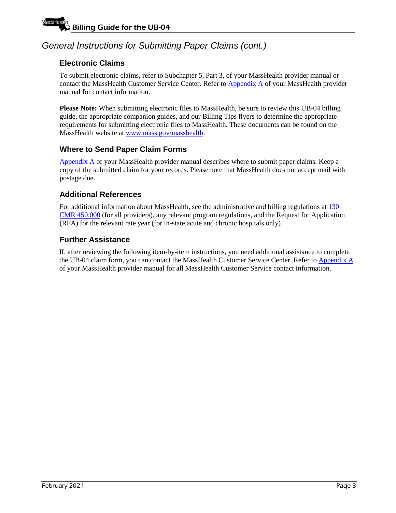## *General Instructions for Submitting Paper Claims (cont.)*

### **Electronic Claims**

To submit electronic claims, refer to Subchapter 5, Part 3, of your MassHealth provider manual or contact the MassHealth Customer Service Center. Refer t[o Appendix A](https://www.mass.gov/guides/masshealth-all-provider-manual-appendices) of your MassHealth provider manual for contact information.

**Please Note:** When submitting electronic files to MassHealth, be sure to review this UB-04 billing guide, the appropriate companion guides, and our Billing Tips flyers to determine the appropriate requirements for submitting electronic files to MassHealth. These documents can be found on the MassHealth website at [www.mass.gov/masshealth.](http://www.mass.gov/masshealth)

### **Where to Send Paper Claim Forms**

[Appendix A](https://www.mass.gov/guides/masshealth-all-provider-manual-appendices) of your MassHealth provider manual describes where to submit paper claims. Keep a copy of the submitted claim for your records. Please note that MassHealth does not accept mail with postage due.

### **Additional References**

For additional information about MassHealth, see the administrative and billing regulations at [130](https://www.mass.gov/regulations/130-CMR-450000-administrative-and-billing-regulations)  [CMR 450.000](https://www.mass.gov/regulations/130-CMR-450000-administrative-and-billing-regulations) (for all providers), any relevant program regulations, and the Request for Application (RFA) for the relevant rate year (for in-state acute and chronic hospitals only).

### **Further Assistance**

If, after reviewing the following item-by-item instructions, you need additional assistance to complete the UB-04 claim form, you can contact the MassHealth Customer Service Center. Refer to [Appendix A](https://www.mass.gov/guides/masshealth-all-provider-manual-appendices) of your MassHealth provider manual for all MassHealth Customer Service contact information.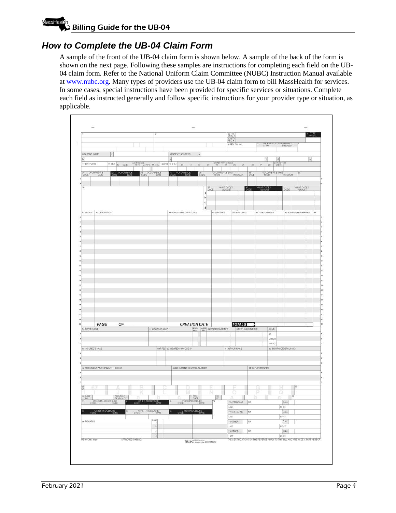### MassHealt<mark>h</mark> Billing Guide for the UB-04

## <span id="page-5-0"></span>*How to Complete the UB-04 Claim Form*

A sample of the front of the UB-04 claim form is shown below. A sample of the back of the form is shown on the next page. Following these samples are instructions for completing each field on the UB-04 claim form. Refer to the National Uniform Claim Committee (NUBC) Instruction Manual available at [www.nubc.org.](http://www.nubc.org/) Many types of providers use the UB-04 claim form to bill MassHealth for services. In some cases, special instructions have been provided for specific services or situations. Complete each field as instructed generally and follow specific instructions for your provider type or situation, as applicable.

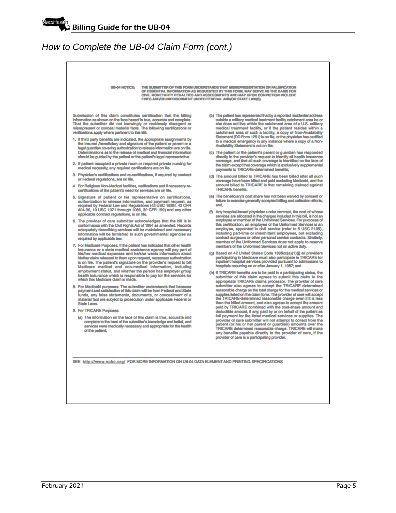THE SUBMITTER OF THIS FORM UNDERSTANDS THAT MISREPRESENTATION OR FALSIFICATION<br>OF ESSENTIAL INFORMATION AS REQUESTED BY THIS FORM, MAY SERVE AS THE BASIS FOR **UB-04 NOTICE:** CIVIL MONETARTY PENALTIES AND ASSESSMENTS AND MAY UPON CONVICTION INCLUDE FINES AND/OR IMPRISONMENT UNDER FEDERAL AND/OR STATE LAW(S) (b) The patient has represented that by a reported residential address outside a military medical treatment facility catchment area he or she does not live within the catchment area of a U.S. military Submission of this claim constitutes certification that the billing summission or unit calent constantes certification into the internation as shown on the face hereof is true, accurate and complete.<br>That the submitter did not knowingly or recidessly disregard or misrepresent or conceal ma are over a medical treatment facility, or if the patient resides within a catchment area of such a facility, a copy of Non-Availability Statement (DD Form 1251) is on file, or the physician has certified verifications apply where pertinent to this Bill: 1. If third party benefits are indicated, the appropriate assignments by to a medical emergency in any instance where a copy of a Non-<br>Availability Statement is not on file; the insured /beneficiary and signature of the patient or parent or a legal guardian covering authorization to release information are on file.<br>Determinations as to the release of medical and financial information (c) The patient or the patient's parent or guardian has responded Final parameter of the provider's request to identify all health insurance<br>coverage, and that all such coverage is identified on the face of<br>the claim except that coverage which is exclusively supplemental<br>payments to TRIC should be guided by the patient or the patient's legal representative. 2. If patient occupied a private room or required private nursing for medical necessity, any required certifications are on file. 3. Physician's certifications and re-certifications, if required by contract (d) The amount billed to TRICARE has been billed after all such or Federal regulations, are on file. coverage have been billed and paid excluding Medicaid, and the<br>amount billed to TRICARE is that remaining claimed against 4. For Religious Non-Medical facilities, verifications and if necessary re-**TRICARE benefits:** certifications of the patient's need for services are on file. (e) The beneficiary's cost share has not been waived by consent or failure to exercise generally accepted billing and collection efforts; 5. Signature of patient or his representative on certifications, authorization to release information, and payment request, as<br>required by Federal Law and Regulations (42 USC 1935), 42 CFR and. 424.36, 10 USC 1071 through 1086, 32 CFR 199) and any other applicable contract regulations, is on file. (f) Any hospital-based physician under contract, the cost of whose services are allocated in the charges included in this bill, is not an employee or member of the Uniformed Services. For purposes of this certification, an employee of the Uniformed Services is an 6. The provider of care submitter acknowledges that the bill is in conformance with the Civil Rights Act of 1964 as amended. Records adequately describing services will be maintained and necessary employee, appointed in civil service (refer to 5 USC 2105),<br>including part-time or intermittent employees, but excluding information will be furnished to such governmental agencies as contract surgeons or other personal service contracts. Similarly, member of the Uniformed Services does not apply to reserve required by applicable law. 7. For Medicare Purposes: If the patient has indicated that other health members of the Uniformed Services not on active duty. insurance or a state medical assistance agency will pay part of<br>his/her medical expenses and he/she wants information about (g) Based on 42 United States Code 1395cc(a)(1)(j) all providers his/her claim released to them upon request, necessary authorization<br>is on file. The patient's signature on the provider's request to bill<br>Medicare medical and non-medical information, including participating in Medicare must also participate in TRICARE for<br>inpatient hospital services provided pursuant to admissions to<br>hospitals occurring on or after January 1, 1987; and employment status, and whether the person has employer group (h) If TRICARE benefits are to be paid in a participating status, the health insurance which is responsible to pay for the services for<br>which this Medicare claim is made. abomitter of this claim agrees to submit this claim to the<br>appropriate TRICARE claims processor. The provider of care<br>submitter also agrees to accept the TRICARE determined 8. For Medicaid purposes: The submitter understands that because<br>payment and satisfaction of this claim will be from Federal and State summain consumer to suppose the balacharge for the medical services or<br>supplies listed on the claim form. The provider of cans will accept<br>the TRICARE-determined reasonable charge even if it is less<br>than the billed amount, funds, any false statements, documents, or concealment of a material fact are subject to prosecution under applicable Federal or State Laws paid by TRICARE combined with the cost-share amount and 9. For TRICARE Purposes: deductible amount, if any, paid by or on behalf of the patient as full payment for the listed medical services or supplies. The<br>provider of care submitter will not attempt to collect from the (a) The information on the face of this claim is true, accurate and complete to the best of the submitter's knowledge and belief, and patient (or his or her parent or guardian) amounts over the<br>TRICARE determined reasonable charge. TRICARE will make services were medically necessary and appropriate for the health of the patient; any benefits payable directly to the provider of care, if the provider of care is a participating provider. SEE http://www.nubo.org/ FOR MORE INFORMATION ON UB-04 DATA ELEMENT AND PRINTING SPECIFICATIONS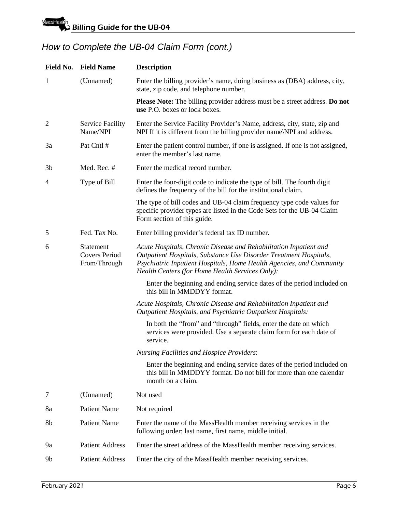| Field No.      | <b>Field Name</b>                                 | <b>Description</b>                                                                                                                                                                                                                                                |
|----------------|---------------------------------------------------|-------------------------------------------------------------------------------------------------------------------------------------------------------------------------------------------------------------------------------------------------------------------|
| $\mathbf{1}$   | (Unnamed)                                         | Enter the billing provider's name, doing business as (DBA) address, city,<br>state, zip code, and telephone number.                                                                                                                                               |
|                |                                                   | <b>Please Note:</b> The billing provider address must be a street address. Do not<br><b>use</b> P.O. boxes or lock boxes.                                                                                                                                         |
| $\overline{2}$ | <b>Service Facility</b><br>Name/NPI               | Enter the Service Facility Provider's Name, address, city, state, zip and<br>NPI If it is different from the billing provider name\NPI and address.                                                                                                               |
| 3a             | Pat Cntl #                                        | Enter the patient control number, if one is assigned. If one is not assigned,<br>enter the member's last name.                                                                                                                                                    |
| 3 <sub>b</sub> | Med. Rec. #                                       | Enter the medical record number.                                                                                                                                                                                                                                  |
| 4              | Type of Bill                                      | Enter the four-digit code to indicate the type of bill. The fourth digit<br>defines the frequency of the bill for the institutional claim.                                                                                                                        |
|                |                                                   | The type of bill codes and UB-04 claim frequency type code values for<br>specific provider types are listed in the Code Sets for the UB-04 Claim<br>Form section of this guide.                                                                                   |
| 5              | Fed. Tax No.                                      | Enter billing provider's federal tax ID number.                                                                                                                                                                                                                   |
| 6              | Statement<br><b>Covers Period</b><br>From/Through | Acute Hospitals, Chronic Disease and Rehabilitation Inpatient and<br>Outpatient Hospitals, Substance Use Disorder Treatment Hospitals,<br>Psychiatric Inpatient Hospitals, Home Health Agencies, and Community<br>Health Centers (for Home Health Services Only): |
|                |                                                   | Enter the beginning and ending service dates of the period included on<br>this bill in MMDDYY format.                                                                                                                                                             |
|                |                                                   | Acute Hospitals, Chronic Disease and Rehabilitation Inpatient and<br>Outpatient Hospitals, and Psychiatric Outpatient Hospitals:                                                                                                                                  |
|                |                                                   | In both the "from" and "through" fields, enter the date on which<br>services were provided. Use a separate claim form for each date of<br>service.                                                                                                                |
|                |                                                   | <b>Nursing Facilities and Hospice Providers:</b>                                                                                                                                                                                                                  |
|                |                                                   | Enter the beginning and ending service dates of the period included on<br>this bill in MMDDYY format. Do not bill for more than one calendar<br>month on a claim.                                                                                                 |
| $\tau$         | (Unnamed)                                         | Not used                                                                                                                                                                                                                                                          |
| 8a             | <b>Patient Name</b>                               | Not required                                                                                                                                                                                                                                                      |
| 8b             | <b>Patient Name</b>                               | Enter the name of the MassHealth member receiving services in the<br>following order: last name, first name, middle initial.                                                                                                                                      |
| 9a             | <b>Patient Address</b>                            | Enter the street address of the MassHealth member receiving services.                                                                                                                                                                                             |
| 9 <sub>b</sub> | <b>Patient Address</b>                            | Enter the city of the MassHealth member receiving services.                                                                                                                                                                                                       |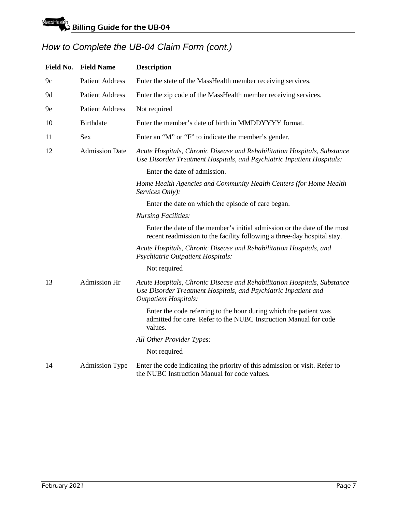| Field No. | <b>Field Name</b>      | <b>Description</b>                                                                                                                                                          |
|-----------|------------------------|-----------------------------------------------------------------------------------------------------------------------------------------------------------------------------|
| 9c        | <b>Patient Address</b> | Enter the state of the MassHealth member receiving services.                                                                                                                |
| 9d        | <b>Patient Address</b> | Enter the zip code of the MassHealth member receiving services.                                                                                                             |
| 9e        | <b>Patient Address</b> | Not required                                                                                                                                                                |
| 10        | <b>Birthdate</b>       | Enter the member's date of birth in MMDDYYYY format.                                                                                                                        |
| 11        | <b>Sex</b>             | Enter an "M" or "F" to indicate the member's gender.                                                                                                                        |
| 12        | <b>Admission Date</b>  | Acute Hospitals, Chronic Disease and Rehabilitation Hospitals, Substance<br>Use Disorder Treatment Hospitals, and Psychiatric Inpatient Hospitals:                          |
|           |                        | Enter the date of admission.                                                                                                                                                |
|           |                        | Home Health Agencies and Community Health Centers (for Home Health<br>Services Only):                                                                                       |
|           |                        | Enter the date on which the episode of care began.                                                                                                                          |
|           |                        | <b>Nursing Facilities:</b>                                                                                                                                                  |
|           |                        | Enter the date of the member's initial admission or the date of the most<br>recent readmission to the facility following a three-day hospital stay.                         |
|           |                        | Acute Hospitals, Chronic Disease and Rehabilitation Hospitals, and<br>Psychiatric Outpatient Hospitals:                                                                     |
|           |                        | Not required                                                                                                                                                                |
| 13        | <b>Admission Hr</b>    | Acute Hospitals, Chronic Disease and Rehabilitation Hospitals, Substance<br>Use Disorder Treatment Hospitals, and Psychiatric Inpatient and<br><b>Outpatient Hospitals:</b> |
|           |                        | Enter the code referring to the hour during which the patient was<br>admitted for care. Refer to the NUBC Instruction Manual for code<br>values.                            |
|           |                        | All Other Provider Types:                                                                                                                                                   |
|           |                        | Not required                                                                                                                                                                |
| 14        | <b>Admission Type</b>  | Enter the code indicating the priority of this admission or visit. Refer to<br>the NUBC Instruction Manual for code values.                                                 |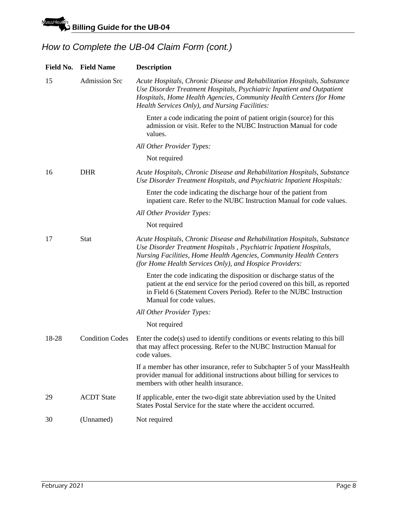| Field No. | <b>Field Name</b>      | <b>Description</b>                                                                                                                                                                                                                                                              |
|-----------|------------------------|---------------------------------------------------------------------------------------------------------------------------------------------------------------------------------------------------------------------------------------------------------------------------------|
| 15        | <b>Admission Src</b>   | Acute Hospitals, Chronic Disease and Rehabilitation Hospitals, Substance<br>Use Disorder Treatment Hospitals, Psychiatric Inpatient and Outpatient<br>Hospitals, Home Health Agencies, Community Health Centers (for Home<br>Health Services Only), and Nursing Facilities:     |
|           |                        | Enter a code indicating the point of patient origin (source) for this<br>admission or visit. Refer to the NUBC Instruction Manual for code<br>values.                                                                                                                           |
|           |                        | All Other Provider Types:                                                                                                                                                                                                                                                       |
|           |                        | Not required                                                                                                                                                                                                                                                                    |
| 16        | <b>DHR</b>             | Acute Hospitals, Chronic Disease and Rehabilitation Hospitals, Substance<br>Use Disorder Treatment Hospitals, and Psychiatric Inpatient Hospitals:                                                                                                                              |
|           |                        | Enter the code indicating the discharge hour of the patient from<br>inpatient care. Refer to the NUBC Instruction Manual for code values.                                                                                                                                       |
|           |                        | All Other Provider Types:                                                                                                                                                                                                                                                       |
|           |                        | Not required                                                                                                                                                                                                                                                                    |
| 17        | <b>Stat</b>            | Acute Hospitals, Chronic Disease and Rehabilitation Hospitals, Substance<br>Use Disorder Treatment Hospitals, Psychiatric Inpatient Hospitals,<br>Nursing Facilities, Home Health Agencies, Community Health Centers<br>(for Home Health Services Only), and Hospice Providers: |
|           |                        | Enter the code indicating the disposition or discharge status of the<br>patient at the end service for the period covered on this bill, as reported<br>in Field 6 (Statement Covers Period). Refer to the NUBC Instruction<br>Manual for code values.                           |
|           |                        | All Other Provider Types:                                                                                                                                                                                                                                                       |
|           |                        | Not required                                                                                                                                                                                                                                                                    |
| 18-28     | <b>Condition Codes</b> | Enter the code(s) used to identify conditions or events relating to this bill<br>that may affect processing. Refer to the NUBC Instruction Manual for<br>code values.                                                                                                           |
|           |                        | If a member has other insurance, refer to Subchapter 5 of your MassHealth<br>provider manual for additional instructions about billing for services to<br>members with other health insurance.                                                                                  |
| 29        | <b>ACDT</b> State      | If applicable, enter the two-digit state abbreviation used by the United<br>States Postal Service for the state where the accident occurred.                                                                                                                                    |
| 30        | (Unnamed)              | Not required                                                                                                                                                                                                                                                                    |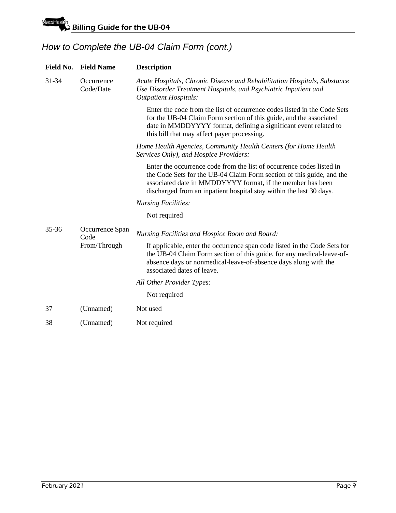| Field No. | <b>Field Name</b>       | <b>Description</b>                                                                                                                                                                                                                                                                  |
|-----------|-------------------------|-------------------------------------------------------------------------------------------------------------------------------------------------------------------------------------------------------------------------------------------------------------------------------------|
| 31-34     | Occurrence<br>Code/Date | Acute Hospitals, Chronic Disease and Rehabilitation Hospitals, Substance<br>Use Disorder Treatment Hospitals, and Psychiatric Inpatient and<br><b>Outpatient Hospitals:</b>                                                                                                         |
|           |                         | Enter the code from the list of occurrence codes listed in the Code Sets<br>for the UB-04 Claim Form section of this guide, and the associated<br>date in MMDDYYYY format, defining a significant event related to<br>this bill that may affect payer processing.                   |
|           |                         | Home Health Agencies, Community Health Centers (for Home Health<br>Services Only), and Hospice Providers:                                                                                                                                                                           |
|           |                         | Enter the occurrence code from the list of occurrence codes listed in<br>the Code Sets for the UB-04 Claim Form section of this guide, and the<br>associated date in MMDDYYYY format, if the member has been<br>discharged from an inpatient hospital stay within the last 30 days. |
|           |                         | <b>Nursing Facilities:</b>                                                                                                                                                                                                                                                          |
|           |                         | Not required                                                                                                                                                                                                                                                                        |
| $35 - 36$ | Occurrence Span<br>Code | Nursing Facilities and Hospice Room and Board:                                                                                                                                                                                                                                      |
|           | From/Through            | If applicable, enter the occurrence span code listed in the Code Sets for<br>the UB-04 Claim Form section of this guide, for any medical-leave-of-<br>absence days or nonmedical-leave-of-absence days along with the<br>associated dates of leave.                                 |
|           |                         | All Other Provider Types:                                                                                                                                                                                                                                                           |
|           |                         | Not required                                                                                                                                                                                                                                                                        |
| 37        | (Unnamed)               | Not used                                                                                                                                                                                                                                                                            |
| 38        | (Unnamed)               | Not required                                                                                                                                                                                                                                                                        |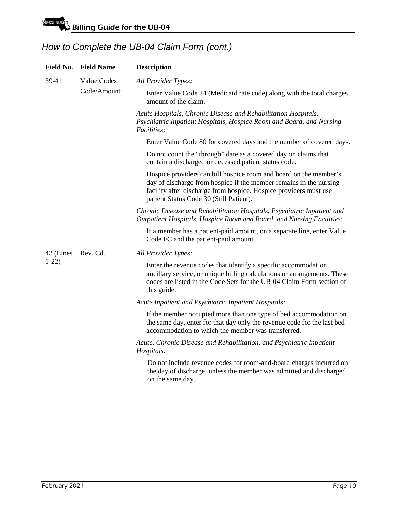| Field No.           | <b>Field Name</b> | <b>Description</b>                                                                                                                                                                                                                                      |
|---------------------|-------------------|---------------------------------------------------------------------------------------------------------------------------------------------------------------------------------------------------------------------------------------------------------|
| 39-41               | Value Codes       | All Provider Types:                                                                                                                                                                                                                                     |
|                     | Code/Amount       | Enter Value Code 24 (Medicaid rate code) along with the total charges<br>amount of the claim.                                                                                                                                                           |
|                     |                   | Acute Hospitals, Chronic Disease and Rehabilitation Hospitals,<br>Psychiatric Inpatient Hospitals, Hospice Room and Board, and Nursing<br>Facilities:                                                                                                   |
|                     |                   | Enter Value Code 80 for covered days and the number of covered days.                                                                                                                                                                                    |
|                     |                   | Do not count the "through" date as a covered day on claims that<br>contain a discharged or deceased patient status code.                                                                                                                                |
|                     |                   | Hospice providers can bill hospice room and board on the member's<br>day of discharge from hospice if the member remains in the nursing<br>facility after discharge from hospice. Hospice providers must use<br>patient Status Code 30 (Still Patient). |
|                     |                   | Chronic Disease and Rehabilitation Hospitals, Psychiatric Inpatient and<br>Outpatient Hospitals, Hospice Room and Board, and Nursing Facilities:                                                                                                        |
|                     |                   | If a member has a patient-paid amount, on a separate line, enter Value<br>Code FC and the patient-paid amount.                                                                                                                                          |
| 42 (Lines<br>$1-22$ | Rev. Cd.          | All Provider Types:                                                                                                                                                                                                                                     |
|                     |                   | Enter the revenue codes that identify a specific accommodation,<br>ancillary service, or unique billing calculations or arrangements. These<br>codes are listed in the Code Sets for the UB-04 Claim Form section of<br>this guide.                     |
|                     |                   | Acute Inpatient and Psychiatric Inpatient Hospitals:                                                                                                                                                                                                    |
|                     |                   | If the member occupied more than one type of bed accommodation on<br>the same day, enter for that day only the revenue code for the last bed<br>accommodation to which the member was transferred.                                                      |
|                     |                   | Acute, Chronic Disease and Rehabilitation, and Psychiatric Inpatient<br>Hospitals:                                                                                                                                                                      |
|                     |                   | Do not include revenue codes for room-and-board charges incurred on<br>the day of discharge, unless the member was admitted and discharged<br>on the same day.                                                                                          |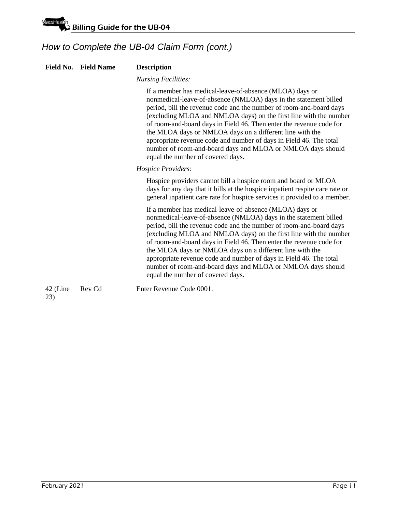|                                                                                              | Field No. Field Name                                                                                                                                                                                                                                                                                                                                                                                                                                                                                                                            | <b>Description</b>                                                                                                                                                                                                                                                                                                                                                                                                                                                                                                                              |
|----------------------------------------------------------------------------------------------|-------------------------------------------------------------------------------------------------------------------------------------------------------------------------------------------------------------------------------------------------------------------------------------------------------------------------------------------------------------------------------------------------------------------------------------------------------------------------------------------------------------------------------------------------|-------------------------------------------------------------------------------------------------------------------------------------------------------------------------------------------------------------------------------------------------------------------------------------------------------------------------------------------------------------------------------------------------------------------------------------------------------------------------------------------------------------------------------------------------|
|                                                                                              |                                                                                                                                                                                                                                                                                                                                                                                                                                                                                                                                                 | <b>Nursing Facilities:</b>                                                                                                                                                                                                                                                                                                                                                                                                                                                                                                                      |
| equal the number of covered days.<br>Hospice Providers:<br>equal the number of covered days. |                                                                                                                                                                                                                                                                                                                                                                                                                                                                                                                                                 | If a member has medical-leave-of-absence (MLOA) days or<br>nonmedical-leave-of-absence (NMLOA) days in the statement billed<br>period, bill the revenue code and the number of room-and-board days<br>(excluding MLOA and NMLOA days) on the first line with the number<br>of room-and-board days in Field 46. Then enter the revenue code for<br>the MLOA days or NMLOA days on a different line with the<br>appropriate revenue code and number of days in Field 46. The total<br>number of room-and-board days and MLOA or NMLOA days should |
|                                                                                              |                                                                                                                                                                                                                                                                                                                                                                                                                                                                                                                                                 |                                                                                                                                                                                                                                                                                                                                                                                                                                                                                                                                                 |
|                                                                                              |                                                                                                                                                                                                                                                                                                                                                                                                                                                                                                                                                 | Hospice providers cannot bill a hospice room and board or MLOA<br>days for any day that it bills at the hospice inpatient respite care rate or<br>general inpatient care rate for hospice services it provided to a member.                                                                                                                                                                                                                                                                                                                     |
|                                                                                              | If a member has medical-leave-of-absence (MLOA) days or<br>nonmedical-leave-of-absence (NMLOA) days in the statement billed<br>period, bill the revenue code and the number of room-and-board days<br>(excluding MLOA and NMLOA days) on the first line with the number<br>of room-and-board days in Field 46. Then enter the revenue code for<br>the MLOA days or NMLOA days on a different line with the<br>appropriate revenue code and number of days in Field 46. The total<br>number of room-and-board days and MLOA or NMLOA days should |                                                                                                                                                                                                                                                                                                                                                                                                                                                                                                                                                 |
| 42 (Line<br>23)                                                                              | Rev Cd                                                                                                                                                                                                                                                                                                                                                                                                                                                                                                                                          | Enter Revenue Code 0001.                                                                                                                                                                                                                                                                                                                                                                                                                                                                                                                        |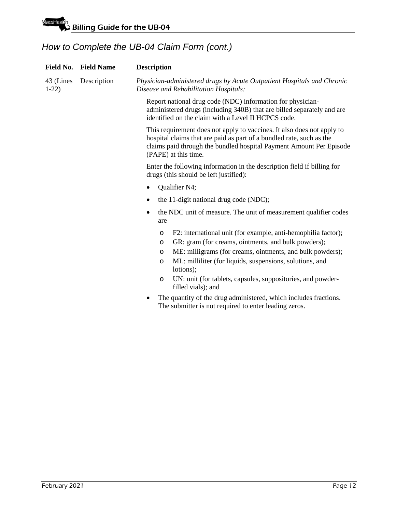| <b>Field No.</b>     | <b>Field Name</b> | <b>Description</b>                                                                                                                                                                                                                            |                                                                                                                                                                                                                                                                                                                                                                                                                                                                            |
|----------------------|-------------------|-----------------------------------------------------------------------------------------------------------------------------------------------------------------------------------------------------------------------------------------------|----------------------------------------------------------------------------------------------------------------------------------------------------------------------------------------------------------------------------------------------------------------------------------------------------------------------------------------------------------------------------------------------------------------------------------------------------------------------------|
| 43 (Lines<br>$1-22)$ | Description       | Physician-administered drugs by Acute Outpatient Hospitals and Chronic<br>Disease and Rehabilitation Hospitals:                                                                                                                               |                                                                                                                                                                                                                                                                                                                                                                                                                                                                            |
|                      |                   | Report national drug code (NDC) information for physician-<br>administered drugs (including 340B) that are billed separately and are<br>identified on the claim with a Level II HCPCS code.                                                   |                                                                                                                                                                                                                                                                                                                                                                                                                                                                            |
|                      |                   | This requirement does not apply to vaccines. It also does not apply to<br>hospital claims that are paid as part of a bundled rate, such as the<br>claims paid through the bundled hospital Payment Amount Per Episode<br>(PAPE) at this time. |                                                                                                                                                                                                                                                                                                                                                                                                                                                                            |
|                      |                   | Enter the following information in the description field if billing for<br>drugs (this should be left justified):                                                                                                                             |                                                                                                                                                                                                                                                                                                                                                                                                                                                                            |
|                      |                   | Qualifier N4;<br>٠                                                                                                                                                                                                                            |                                                                                                                                                                                                                                                                                                                                                                                                                                                                            |
|                      |                   | the 11-digit national drug code (NDC);<br>$\bullet$                                                                                                                                                                                           |                                                                                                                                                                                                                                                                                                                                                                                                                                                                            |
|                      |                   | the NDC unit of measure. The unit of measurement qualifier codes<br>٠<br>are                                                                                                                                                                  |                                                                                                                                                                                                                                                                                                                                                                                                                                                                            |
|                      |                   | ٠                                                                                                                                                                                                                                             | F2: international unit (for example, anti-hemophilia factor);<br>$\circ$<br>GR: gram (for creams, ointments, and bulk powders);<br>$\circ$<br>ME: milligrams (for creams, ointments, and bulk powders);<br>$\circ$<br>ML: milliliter (for liquids, suspensions, solutions, and<br>$\circ$<br>lotions);<br>UN: unit (for tablets, capsules, suppositories, and powder-<br>$\circ$<br>filled vials); and<br>The quantity of the drug administered, which includes fractions. |
|                      |                   | The submitter is not required to enter leading zeros.                                                                                                                                                                                         |                                                                                                                                                                                                                                                                                                                                                                                                                                                                            |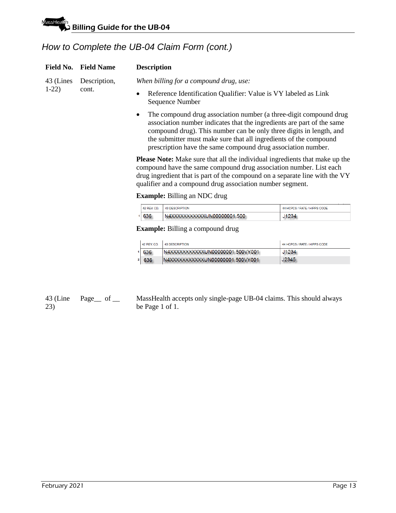| <b>Field No.</b>     | <b>Field Name</b>     | <b>Description</b>                                                                                                                                                                                                                                                                                                                                           |             |                                                                                                                                                                                                                                                                                                                                             |                              |  |  |
|----------------------|-----------------------|--------------------------------------------------------------------------------------------------------------------------------------------------------------------------------------------------------------------------------------------------------------------------------------------------------------------------------------------------------------|-------------|---------------------------------------------------------------------------------------------------------------------------------------------------------------------------------------------------------------------------------------------------------------------------------------------------------------------------------------------|------------------------------|--|--|
| 43 (Lines<br>$1-22)$ | Description,<br>cont. | When billing for a compound drug, use:                                                                                                                                                                                                                                                                                                                       |             |                                                                                                                                                                                                                                                                                                                                             |                              |  |  |
|                      |                       | $\bullet$                                                                                                                                                                                                                                                                                                                                                    |             | Reference Identification Qualifier: Value is VY labeled as Link<br>Sequence Number                                                                                                                                                                                                                                                          |                              |  |  |
|                      |                       | The compound drug association number (a three-digit compound drug<br>٠<br>association number indicates that the ingredients are part of the same<br>compound drug). This number can be only three digits in length, and<br>the submitter must make sure that all ingredients of the compound<br>prescription have the same compound drug association number. |             |                                                                                                                                                                                                                                                                                                                                             |                              |  |  |
|                      |                       |                                                                                                                                                                                                                                                                                                                                                              |             | <b>Please Note:</b> Make sure that all the individual ingredients that make up the<br>compound have the same compound drug association number. List each<br>drug ingredient that is part of the compound on a separate line with the VY<br>qualifier and a compound drug association number segment.<br><b>Example:</b> Billing an NDC drug |                              |  |  |
|                      |                       |                                                                                                                                                                                                                                                                                                                                                              | 42 REV. CD. | <b>43 DESCRIPTION</b>                                                                                                                                                                                                                                                                                                                       | 44 HCPCS / RATE / HIPPS CODE |  |  |
|                      |                       |                                                                                                                                                                                                                                                                                                                                                              | 636         | N4XXXXXXXXXXXUN00000001.500                                                                                                                                                                                                                                                                                                                 | J1234                        |  |  |
|                      |                       |                                                                                                                                                                                                                                                                                                                                                              |             | <b>Example:</b> Billing a compound drug                                                                                                                                                                                                                                                                                                     |                              |  |  |
|                      |                       |                                                                                                                                                                                                                                                                                                                                                              | 42 REV. CD. | <b>43 DESCRIPTION</b>                                                                                                                                                                                                                                                                                                                       | 44 HCPCS / RATE / HIPPS CODE |  |  |
|                      |                       |                                                                                                                                                                                                                                                                                                                                                              | 636         | N4XXXXXXXXXXXUN00000001.500VY001                                                                                                                                                                                                                                                                                                            | J1234                        |  |  |
|                      |                       |                                                                                                                                                                                                                                                                                                                                                              | 636         | N4XXXXXXXXXXXUN00000001.500VY001                                                                                                                                                                                                                                                                                                            | J2345                        |  |  |
|                      |                       |                                                                                                                                                                                                                                                                                                                                                              |             |                                                                                                                                                                                                                                                                                                                                             |                              |  |  |

43 (Line 23)

Page\_ of \_ MassHealth accepts only single-page UB-04 claims. This should always be Page 1 of 1.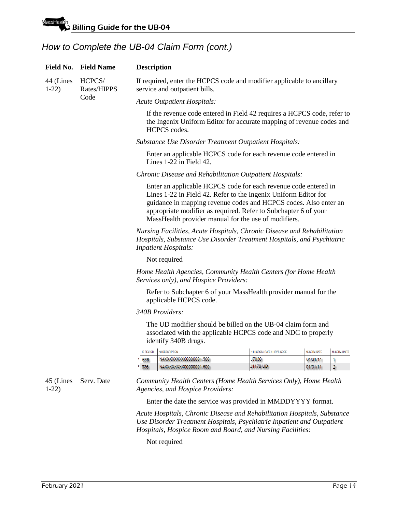| <b>Field No.</b>     | <b>Field Name</b>     | <b>Description</b>                                                                                                                                                                                                                                                                                                                |                                                                                                                                                                                                                  |                              |                      |                     |  |  |  |
|----------------------|-----------------------|-----------------------------------------------------------------------------------------------------------------------------------------------------------------------------------------------------------------------------------------------------------------------------------------------------------------------------------|------------------------------------------------------------------------------------------------------------------------------------------------------------------------------------------------------------------|------------------------------|----------------------|---------------------|--|--|--|
| 44 (Lines<br>$1-22)$ | HCPCS/<br>Rates/HIPPS | If required, enter the HCPCS code and modifier applicable to ancillary<br>service and outpatient bills.                                                                                                                                                                                                                           |                                                                                                                                                                                                                  |                              |                      |                     |  |  |  |
|                      | Code                  |                                                                                                                                                                                                                                                                                                                                   | <b>Acute Outpatient Hospitals:</b>                                                                                                                                                                               |                              |                      |                     |  |  |  |
|                      |                       | If the revenue code entered in Field 42 requires a HCPCS code, refer to<br>the Ingenix Uniform Editor for accurate mapping of revenue codes and<br>HCPCS codes.                                                                                                                                                                   |                                                                                                                                                                                                                  |                              |                      |                     |  |  |  |
|                      |                       |                                                                                                                                                                                                                                                                                                                                   | Substance Use Disorder Treatment Outpatient Hospitals:                                                                                                                                                           |                              |                      |                     |  |  |  |
|                      |                       |                                                                                                                                                                                                                                                                                                                                   | Enter an applicable HCPCS code for each revenue code entered in<br>Lines 1-22 in Field 42.                                                                                                                       |                              |                      |                     |  |  |  |
|                      |                       |                                                                                                                                                                                                                                                                                                                                   | Chronic Disease and Rehabilitation Outpatient Hospitals:                                                                                                                                                         |                              |                      |                     |  |  |  |
|                      |                       | Enter an applicable HCPCS code for each revenue code entered in<br>Lines 1-22 in Field 42. Refer to the Ingenix Uniform Editor for<br>guidance in mapping revenue codes and HCPCS codes. Also enter an<br>appropriate modifier as required. Refer to Subchapter 6 of your<br>MassHealth provider manual for the use of modifiers. |                                                                                                                                                                                                                  |                              |                      |                     |  |  |  |
|                      |                       |                                                                                                                                                                                                                                                                                                                                   | Nursing Facilities, Acute Hospitals, Chronic Disease and Rehabilitation<br>Hospitals, Substance Use Disorder Treatment Hospitals, and Psychiatric<br><b>Inpatient Hospitals:</b>                                 |                              |                      |                     |  |  |  |
|                      |                       |                                                                                                                                                                                                                                                                                                                                   | Not required                                                                                                                                                                                                     |                              |                      |                     |  |  |  |
|                      |                       | Home Health Agencies, Community Health Centers (for Home Health<br>Services only), and Hospice Providers:                                                                                                                                                                                                                         |                                                                                                                                                                                                                  |                              |                      |                     |  |  |  |
|                      |                       | Refer to Subchapter 6 of your MassHealth provider manual for the<br>applicable HCPCS code.                                                                                                                                                                                                                                        |                                                                                                                                                                                                                  |                              |                      |                     |  |  |  |
|                      |                       |                                                                                                                                                                                                                                                                                                                                   | 340B Providers:                                                                                                                                                                                                  |                              |                      |                     |  |  |  |
|                      |                       |                                                                                                                                                                                                                                                                                                                                   | The UD modifier should be billed on the UB-04 claim form and<br>associated with the applicable HCPCS code and NDC to properly<br>identify 340B drugs.                                                            |                              |                      |                     |  |  |  |
|                      |                       |                                                                                                                                                                                                                                                                                                                                   | 42 REV. CD. 43 DESCRIPTION                                                                                                                                                                                       | 44 HCPCS / RATE / HIPPS CODE | 45 SERV. DATE        | 46 SERV. UNITS      |  |  |  |
|                      |                       | 636<br>636                                                                                                                                                                                                                                                                                                                        | N4XXXXXXXX00000001.500<br>N4XXXXXXXX00000001.500                                                                                                                                                                 | J7030<br><b>J1170 UD</b>     | 01/31/11<br>01/31/11 | 1<br>$\overline{2}$ |  |  |  |
| 45 (Lines<br>$1-22)$ | Serv. Date            |                                                                                                                                                                                                                                                                                                                                   | Community Health Centers (Home Health Services Only), Home Health<br>Agencies, and Hospice Providers:                                                                                                            |                              |                      |                     |  |  |  |
|                      |                       |                                                                                                                                                                                                                                                                                                                                   | Enter the date the service was provided in MMDDYYYY format.                                                                                                                                                      |                              |                      |                     |  |  |  |
|                      |                       |                                                                                                                                                                                                                                                                                                                                   | Acute Hospitals, Chronic Disease and Rehabilitation Hospitals, Substance<br>Use Disorder Treatment Hospitals, Psychiatric Inpatient and Outpatient<br>Hospitals, Hospice Room and Board, and Nursing Facilities: |                              |                      |                     |  |  |  |
|                      |                       | Not required                                                                                                                                                                                                                                                                                                                      |                                                                                                                                                                                                                  |                              |                      |                     |  |  |  |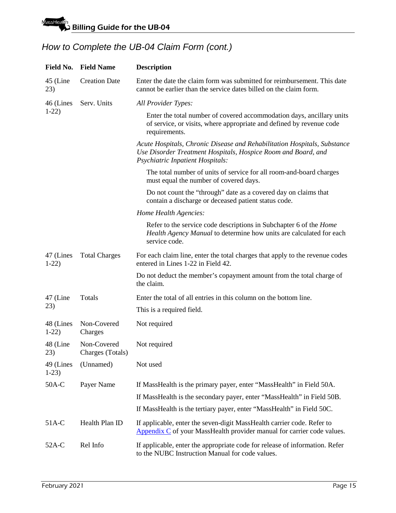| Field No.            | <b>Field Name</b>               | <b>Description</b>                                                                                                                                                            |  |
|----------------------|---------------------------------|-------------------------------------------------------------------------------------------------------------------------------------------------------------------------------|--|
| 45 (Line<br>23)      | <b>Creation Date</b>            | Enter the date the claim form was submitted for reimbursement. This date<br>cannot be earlier than the service dates billed on the claim form.                                |  |
| 46 (Lines            | Serv. Units                     | All Provider Types:                                                                                                                                                           |  |
| $1-22)$              |                                 | Enter the total number of covered accommodation days, ancillary units<br>of service, or visits, where appropriate and defined by revenue code<br>requirements.                |  |
|                      |                                 | Acute Hospitals, Chronic Disease and Rehabilitation Hospitals, Substance<br>Use Disorder Treatment Hospitals, Hospice Room and Board, and<br>Psychiatric Inpatient Hospitals: |  |
|                      |                                 | The total number of units of service for all room-and-board charges<br>must equal the number of covered days.                                                                 |  |
|                      |                                 | Do not count the "through" date as a covered day on claims that<br>contain a discharge or deceased patient status code.                                                       |  |
|                      |                                 | Home Health Agencies:                                                                                                                                                         |  |
|                      |                                 | Refer to the service code descriptions in Subchapter 6 of the <i>Home</i><br>Health Agency Manual to determine how units are calculated for each<br>service code.             |  |
| 47 (Lines<br>$1-22)$ | <b>Total Charges</b>            | For each claim line, enter the total charges that apply to the revenue codes<br>entered in Lines 1-22 in Field 42.                                                            |  |
|                      |                                 | Do not deduct the member's copayment amount from the total charge of<br>the claim.                                                                                            |  |
| 47 (Line             | Totals                          | Enter the total of all entries in this column on the bottom line.                                                                                                             |  |
| 23)                  |                                 | This is a required field.                                                                                                                                                     |  |
| 48 (Lines<br>$1-22$  | Non-Covered<br>Charges          | Not required                                                                                                                                                                  |  |
| 48 (Line<br>23)      | Non-Covered<br>Charges (Totals) | Not required                                                                                                                                                                  |  |
| 49 (Lines<br>$1-23$  | (Unnamed)                       | Not used                                                                                                                                                                      |  |
| $50A-C$              | Payer Name                      | If MassHealth is the primary payer, enter "MassHealth" in Field 50A.                                                                                                          |  |
|                      |                                 | If MassHealth is the secondary payer, enter "MassHealth" in Field 50B.                                                                                                        |  |
|                      |                                 | If MassHealth is the tertiary payer, enter "MassHealth" in Field 50C.                                                                                                         |  |
| $51A-C$              | Health Plan ID                  | If applicable, enter the seven-digit MassHealth carrier code. Refer to<br>Appendix C of your MassHealth provider manual for carrier code values.                              |  |
| $52A-C$              | Rel Info                        | If applicable, enter the appropriate code for release of information. Refer<br>to the NUBC Instruction Manual for code values.                                                |  |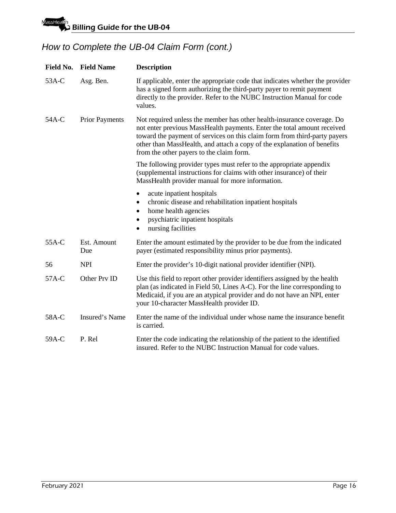| <b>Field No.</b> | <b>Field Name</b>     | <b>Description</b>                                                                                                                                                                                                                                                                                                                                    |
|------------------|-----------------------|-------------------------------------------------------------------------------------------------------------------------------------------------------------------------------------------------------------------------------------------------------------------------------------------------------------------------------------------------------|
| $53A-C$          | Asg. Ben.             | If applicable, enter the appropriate code that indicates whether the provider<br>has a signed form authorizing the third-party payer to remit payment<br>directly to the provider. Refer to the NUBC Instruction Manual for code<br>values.                                                                                                           |
| 54A-C            | <b>Prior Payments</b> | Not required unless the member has other health-insurance coverage. Do<br>not enter previous MassHealth payments. Enter the total amount received<br>toward the payment of services on this claim form from third-party payers<br>other than MassHealth, and attach a copy of the explanation of benefits<br>from the other payers to the claim form. |
|                  |                       | The following provider types must refer to the appropriate appendix<br>(supplemental instructions for claims with other insurance) of their<br>MassHealth provider manual for more information.                                                                                                                                                       |
|                  |                       | acute inpatient hospitals<br>chronic disease and rehabilitation inpatient hospitals<br>home health agencies<br>psychiatric inpatient hospitals<br>nursing facilities                                                                                                                                                                                  |
| 55A-C            | Est. Amount<br>Due    | Enter the amount estimated by the provider to be due from the indicated<br>payer (estimated responsibility minus prior payments).                                                                                                                                                                                                                     |
| 56               | <b>NPI</b>            | Enter the provider's 10-digit national provider identifier (NPI).                                                                                                                                                                                                                                                                                     |
| 57A-C            | Other Prv ID          | Use this field to report other provider identifiers assigned by the health<br>plan (as indicated in Field 50, Lines A-C). For the line corresponding to<br>Medicaid, if you are an atypical provider and do not have an NPI, enter<br>your 10-character MassHealth provider ID.                                                                       |
| 58A-C            | Insured's Name        | Enter the name of the individual under whose name the insurance benefit<br>is carried.                                                                                                                                                                                                                                                                |
| 59A-C            | P. Rel                | Enter the code indicating the relationship of the patient to the identified<br>insured. Refer to the NUBC Instruction Manual for code values.                                                                                                                                                                                                         |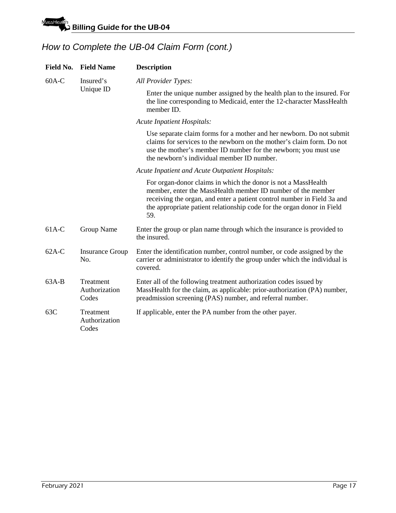| Field No. | <b>Field Name</b>                   | <b>Description</b>                                                                                                                                                                                                                                                                       |
|-----------|-------------------------------------|------------------------------------------------------------------------------------------------------------------------------------------------------------------------------------------------------------------------------------------------------------------------------------------|
| $60A-C$   | Insured's<br>Unique ID              | All Provider Types:                                                                                                                                                                                                                                                                      |
|           |                                     | Enter the unique number assigned by the health plan to the insured. For<br>the line corresponding to Medicaid, enter the 12-character MassHealth<br>member ID.                                                                                                                           |
|           |                                     | <b>Acute Inpatient Hospitals:</b>                                                                                                                                                                                                                                                        |
|           |                                     | Use separate claim forms for a mother and her newborn. Do not submit<br>claims for services to the newborn on the mother's claim form. Do not<br>use the mother's member ID number for the newborn; you must use<br>the newborn's individual member ID number.                           |
|           |                                     | Acute Inpatient and Acute Outpatient Hospitals:                                                                                                                                                                                                                                          |
|           |                                     | For organ-donor claims in which the donor is not a MassHealth<br>member, enter the MassHealth member ID number of the member<br>receiving the organ, and enter a patient control number in Field 3a and<br>the appropriate patient relationship code for the organ donor in Field<br>59. |
| $61A-C$   | Group Name                          | Enter the group or plan name through which the insurance is provided to<br>the insured.                                                                                                                                                                                                  |
| $62A-C$   | <b>Insurance Group</b><br>No.       | Enter the identification number, control number, or code assigned by the<br>carrier or administrator to identify the group under which the individual is<br>covered.                                                                                                                     |
| $63A-B$   | Treatment<br>Authorization<br>Codes | Enter all of the following treatment authorization codes issued by<br>MassHealth for the claim, as applicable: prior-authorization (PA) number,<br>preadmission screening (PAS) number, and referral number.                                                                             |
| 63C       | Treatment<br>Authorization<br>Codes | If applicable, enter the PA number from the other payer.                                                                                                                                                                                                                                 |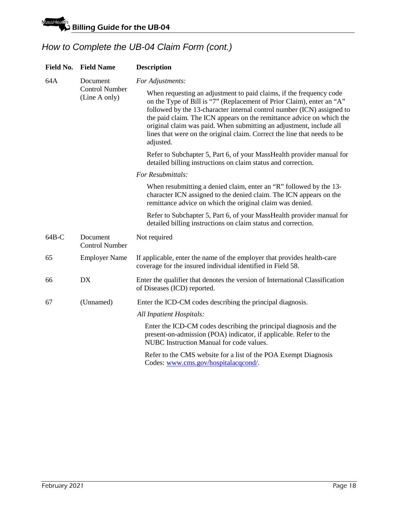| Field No. | <b>Field Name</b>                                  | <b>Description</b>                                                                                                                                                                                                                                                                                                                                                                                                                                              |
|-----------|----------------------------------------------------|-----------------------------------------------------------------------------------------------------------------------------------------------------------------------------------------------------------------------------------------------------------------------------------------------------------------------------------------------------------------------------------------------------------------------------------------------------------------|
| 64A       | Document<br><b>Control Number</b><br>(Line A only) | For Adjustments:                                                                                                                                                                                                                                                                                                                                                                                                                                                |
|           |                                                    | When requesting an adjustment to paid claims, if the frequency code<br>on the Type of Bill is "7" (Replacement of Prior Claim), enter an "A"<br>followed by the 13-character internal control number (ICN) assigned to<br>the paid claim. The ICN appears on the remittance advice on which the<br>original claim was paid. When submitting an adjustment, include all<br>lines that were on the original claim. Correct the line that needs to be<br>adjusted. |
|           |                                                    | Refer to Subchapter 5, Part 6, of your MassHealth provider manual for<br>detailed billing instructions on claim status and correction.                                                                                                                                                                                                                                                                                                                          |
|           |                                                    | For Resubmittals:                                                                                                                                                                                                                                                                                                                                                                                                                                               |
|           |                                                    | When resubmitting a denied claim, enter an "R" followed by the 13-<br>character ICN assigned to the denied claim. The ICN appears on the<br>remittance advice on which the original claim was denied.                                                                                                                                                                                                                                                           |
|           |                                                    | Refer to Subchapter 5, Part 6, of your MassHealth provider manual for<br>detailed billing instructions on claim status and correction.                                                                                                                                                                                                                                                                                                                          |
| 64B-C     | Document<br><b>Control Number</b>                  | Not required                                                                                                                                                                                                                                                                                                                                                                                                                                                    |
| 65        | <b>Employer Name</b>                               | If applicable, enter the name of the employer that provides health-care<br>coverage for the insured individual identified in Field 58.                                                                                                                                                                                                                                                                                                                          |
| 66        | <b>DX</b>                                          | Enter the qualifier that denotes the version of International Classification<br>of Diseases (ICD) reported.                                                                                                                                                                                                                                                                                                                                                     |
| 67        | (Unnamed)                                          | Enter the ICD-CM codes describing the principal diagnosis.                                                                                                                                                                                                                                                                                                                                                                                                      |
|           |                                                    | All Inpatient Hospitals:                                                                                                                                                                                                                                                                                                                                                                                                                                        |
|           |                                                    | Enter the ICD-CM codes describing the principal diagnosis and the<br>present-on-admission (POA) indicator, if applicable. Refer to the<br>NUBC Instruction Manual for code values.                                                                                                                                                                                                                                                                              |
|           |                                                    | Refer to the CMS website for a list of the POA Exempt Diagnosis<br>Codes: www.cms.gov/hospitalacqcond/.                                                                                                                                                                                                                                                                                                                                                         |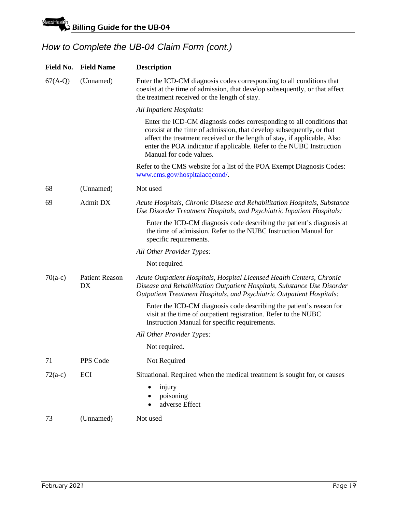| Field No. | <b>Field Name</b>           | <b>Description</b>                                                                                                                                                                                                                                                                                                           |
|-----------|-----------------------------|------------------------------------------------------------------------------------------------------------------------------------------------------------------------------------------------------------------------------------------------------------------------------------------------------------------------------|
| $67(A-Q)$ | (Unnamed)                   | Enter the ICD-CM diagnosis codes corresponding to all conditions that<br>coexist at the time of admission, that develop subsequently, or that affect<br>the treatment received or the length of stay.                                                                                                                        |
|           |                             | <b>All Inpatient Hospitals:</b>                                                                                                                                                                                                                                                                                              |
|           |                             | Enter the ICD-CM diagnosis codes corresponding to all conditions that<br>coexist at the time of admission, that develop subsequently, or that<br>affect the treatment received or the length of stay, if applicable. Also<br>enter the POA indicator if applicable. Refer to the NUBC Instruction<br>Manual for code values. |
|           |                             | Refer to the CMS website for a list of the POA Exempt Diagnosis Codes:<br>www.cms.gov/hospitalacqcond/                                                                                                                                                                                                                       |
| 68        | (Unnamed)                   | Not used                                                                                                                                                                                                                                                                                                                     |
| 69        | <b>Admit DX</b>             | Acute Hospitals, Chronic Disease and Rehabilitation Hospitals, Substance<br>Use Disorder Treatment Hospitals, and Psychiatric Inpatient Hospitals:                                                                                                                                                                           |
|           |                             | Enter the ICD-CM diagnosis code describing the patient's diagnosis at<br>the time of admission. Refer to the NUBC Instruction Manual for<br>specific requirements.                                                                                                                                                           |
|           |                             | All Other Provider Types:                                                                                                                                                                                                                                                                                                    |
|           |                             | Not required                                                                                                                                                                                                                                                                                                                 |
| $70(a-c)$ | <b>Patient Reason</b><br>DX | Acute Outpatient Hospitals, Hospital Licensed Health Centers, Chronic<br>Disease and Rehabilitation Outpatient Hospitals, Substance Use Disorder<br>Outpatient Treatment Hospitals, and Psychiatric Outpatient Hospitals:                                                                                                    |
|           |                             | Enter the ICD-CM diagnosis code describing the patient's reason for<br>visit at the time of outpatient registration. Refer to the NUBC<br>Instruction Manual for specific requirements.                                                                                                                                      |
|           |                             | All Other Provider Types:                                                                                                                                                                                                                                                                                                    |
|           |                             | Not required.                                                                                                                                                                                                                                                                                                                |
| 71        | PPS Code                    | Not Required                                                                                                                                                                                                                                                                                                                 |
| $72(a-c)$ | ECI                         | Situational. Required when the medical treatment is sought for, or causes                                                                                                                                                                                                                                                    |
|           |                             | injury<br>poisoning<br>adverse Effect                                                                                                                                                                                                                                                                                        |
| 73        | (Unnamed)                   | Not used                                                                                                                                                                                                                                                                                                                     |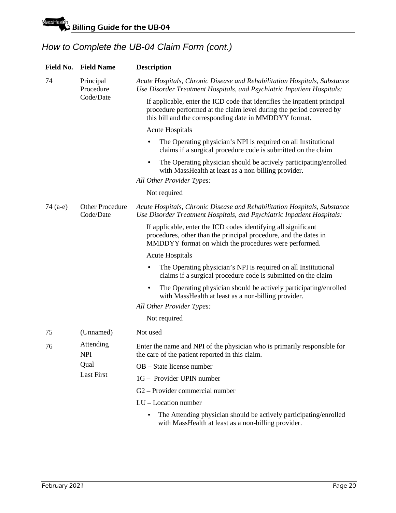| Field No. | <b>Field Name</b>                   | <b>Description</b>                                                                                                                                                                                         |
|-----------|-------------------------------------|------------------------------------------------------------------------------------------------------------------------------------------------------------------------------------------------------------|
| 74        | Principal<br>Procedure<br>Code/Date | Acute Hospitals, Chronic Disease and Rehabilitation Hospitals, Substance<br>Use Disorder Treatment Hospitals, and Psychiatric Inpatient Hospitals:                                                         |
|           |                                     | If applicable, enter the ICD code that identifies the inpatient principal<br>procedure performed at the claim level during the period covered by<br>this bill and the corresponding date in MMDDYY format. |
|           |                                     | <b>Acute Hospitals</b>                                                                                                                                                                                     |
|           |                                     | The Operating physician's NPI is required on all Institutional<br>٠<br>claims if a surgical procedure code is submitted on the claim                                                                       |
|           |                                     | The Operating physician should be actively participating/enrolled<br>$\bullet$<br>with MassHealth at least as a non-billing provider.                                                                      |
|           |                                     | All Other Provider Types:                                                                                                                                                                                  |
|           |                                     | Not required                                                                                                                                                                                               |
| $74(a-e)$ | <b>Other Procedure</b><br>Code/Date | Acute Hospitals, Chronic Disease and Rehabilitation Hospitals, Substance<br>Use Disorder Treatment Hospitals, and Psychiatric Inpatient Hospitals:                                                         |
|           |                                     | If applicable, enter the ICD codes identifying all significant<br>procedures, other than the principal procedure, and the dates in<br>MMDDYY format on which the procedures were performed.                |
|           |                                     | <b>Acute Hospitals</b>                                                                                                                                                                                     |
|           |                                     | The Operating physician's NPI is required on all Institutional<br>$\bullet$<br>claims if a surgical procedure code is submitted on the claim                                                               |
|           |                                     | The Operating physician should be actively participating/enrolled<br>$\bullet$<br>with MassHealth at least as a non-billing provider.                                                                      |
|           |                                     | All Other Provider Types:                                                                                                                                                                                  |
|           |                                     | Not required                                                                                                                                                                                               |
| 75        | (Unnamed)                           | Not used                                                                                                                                                                                                   |
| 76        | Attending<br>NPI                    | Enter the name and NPI of the physician who is primarily responsible for<br>the care of the patient reported in this claim.                                                                                |
|           | Qual                                | OB – State license number                                                                                                                                                                                  |
|           | <b>Last First</b>                   | 1G - Provider UPIN number                                                                                                                                                                                  |
|           |                                     | G2 - Provider commercial number                                                                                                                                                                            |
|           |                                     | $LU$ – Location number                                                                                                                                                                                     |
|           |                                     | The Attending physician should be actively participating/enrolled<br>٠<br>with MassHealth at least as a non-billing provider.                                                                              |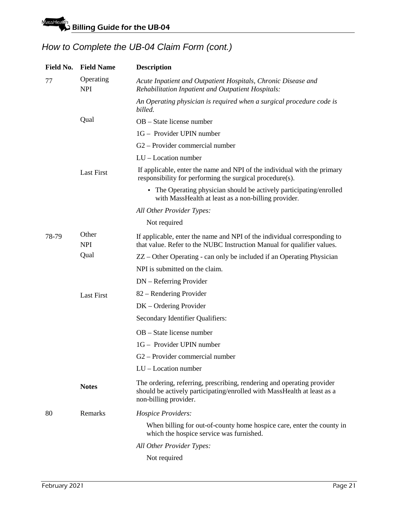| Field No. | <b>Field Name</b>       | <b>Description</b>                                                                                                                                                         |
|-----------|-------------------------|----------------------------------------------------------------------------------------------------------------------------------------------------------------------------|
| 77        | Operating<br><b>NPI</b> | Acute Inpatient and Outpatient Hospitals, Chronic Disease and<br>Rehabilitation Inpatient and Outpatient Hospitals:                                                        |
|           |                         | An Operating physician is required when a surgical procedure code is<br>billed.                                                                                            |
|           | Qual                    | OB – State license number                                                                                                                                                  |
|           |                         | 1G - Provider UPIN number                                                                                                                                                  |
|           |                         | G2 – Provider commercial number                                                                                                                                            |
|           |                         | $LU$ – Location number                                                                                                                                                     |
|           | <b>Last First</b>       | If applicable, enter the name and NPI of the individual with the primary<br>responsibility for performing the surgical procedure(s).                                       |
|           |                         | • The Operating physician should be actively participating/enrolled<br>with MassHealth at least as a non-billing provider.                                                 |
|           |                         | All Other Provider Types:                                                                                                                                                  |
|           |                         | Not required                                                                                                                                                               |
| 78-79     | Other<br><b>NPI</b>     | If applicable, enter the name and NPI of the individual corresponding to<br>that value. Refer to the NUBC Instruction Manual for qualifier values.                         |
|           | Qual                    | ZZ – Other Operating - can only be included if an Operating Physician                                                                                                      |
|           |                         | NPI is submitted on the claim.                                                                                                                                             |
|           |                         | DN – Referring Provider                                                                                                                                                    |
|           | <b>Last First</b>       | 82 – Rendering Provider                                                                                                                                                    |
|           |                         | DK – Ordering Provider                                                                                                                                                     |
|           |                         | Secondary Identifier Qualifiers:                                                                                                                                           |
|           |                         | OB – State license number                                                                                                                                                  |
|           |                         | 1G - Provider UPIN number                                                                                                                                                  |
|           |                         | G2 - Provider commercial number                                                                                                                                            |
|           |                         | $LU$ – Location number                                                                                                                                                     |
|           | <b>Notes</b>            | The ordering, referring, prescribing, rendering and operating provider<br>should be actively participating/enrolled with MassHealth at least as a<br>non-billing provider. |
| 80        | Remarks                 | <b>Hospice Providers:</b>                                                                                                                                                  |
|           |                         | When billing for out-of-county home hospice care, enter the county in<br>which the hospice service was furnished.                                                          |
|           |                         | All Other Provider Types:                                                                                                                                                  |
|           |                         | Not required                                                                                                                                                               |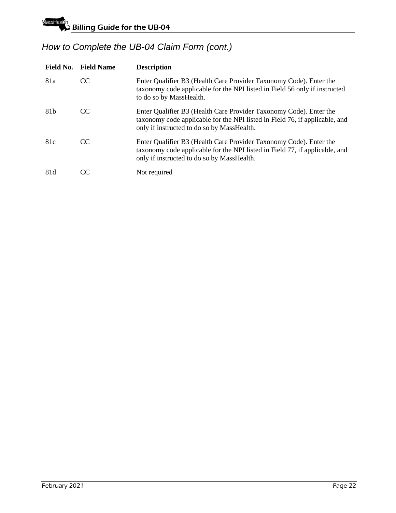| Field No.       | <b>Field Name</b> | <b>Description</b>                                                                                                                                                                              |
|-----------------|-------------------|-------------------------------------------------------------------------------------------------------------------------------------------------------------------------------------------------|
| 81a             | CC.               | Enter Qualifier B3 (Health Care Provider Taxonomy Code). Enter the<br>taxonomy code applicable for the NPI listed in Field 56 only if instructed<br>to do so by MassHealth.                     |
| 81 <sub>b</sub> | CC.               | Enter Qualifier B3 (Health Care Provider Taxonomy Code). Enter the<br>taxonomy code applicable for the NPI listed in Field 76, if applicable, and<br>only if instructed to do so by MassHealth. |
| 81c             | CC.               | Enter Qualifier B3 (Health Care Provider Taxonomy Code). Enter the<br>taxonomy code applicable for the NPI listed in Field 77, if applicable, and<br>only if instructed to do so by MassHealth. |
| 81d             | CC                | Not required                                                                                                                                                                                    |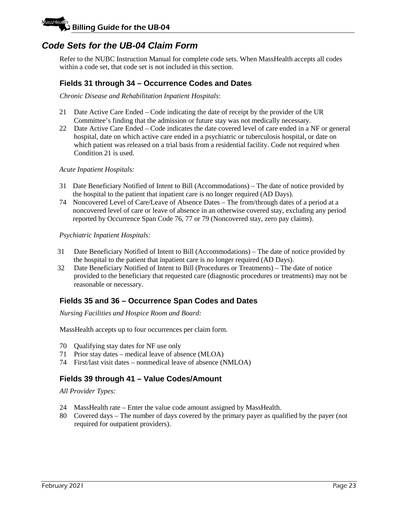## <span id="page-24-0"></span>*Code Sets for the UB-04 Claim Form*

Refer to the NUBC Instruction Manual for complete code sets. When MassHealth accepts all codes within a code set, that code set is not included in this section.

### **Fields 31 through 34 – Occurrence Codes and Dates**

*Chronic Disease and Rehabilitation Inpatient Hospitals*:

- 21 Date Active Care Ended Code indicating the date of receipt by the provider of the UR Committee's finding that the admission or future stay was not medically necessary.
- 22 Date Active Care Ended Code indicates the date covered level of care ended in a NF or general hospital, date on which active care ended in a psychiatric or tuberculosis hospital, or date on which patient was released on a trial basis from a residential facility. Code not required when Condition 21 is used.

### *Acute Inpatient Hospitals:*

- 31 Date Beneficiary Notified of Intent to Bill (Accommodations) The date of notice provided by the hospital to the patient that inpatient care is no longer required (AD Days).
- 74 Noncovered Level of Care/Leave of Absence Dates The from/through dates of a period at a noncovered level of care or leave of absence in an otherwise covered stay, excluding any period reported by Occurrence Span Code 76, 77 or 79 (Noncovered stay, zero pay claims).

*Psychiatric Inpatient Hospitals:*

- 31 Date Beneficiary Notified of Intent to Bill (Accommodations) The date of notice provided by the hospital to the patient that inpatient care is no longer required (AD Days).
- 32 Date Beneficiary Notified of Intent to Bill (Procedures or Treatments) The date of notice provided to the beneficiary that requested care (diagnostic procedures or treatments) may not be reasonable or necessary.

### **Fields 35 and 36 – Occurrence Span Codes and Dates**

*Nursing Facilities and Hospice Room and Board:*

MassHealth accepts up to four occurrences per claim form.

- 70 Qualifying stay dates for NF use only
- 71 Prior stay dates medical leave of absence (MLOA)
- 74 First/last visit dates nonmedical leave of absence (NMLOA)

### **Fields 39 through 41 – Value Codes/Amount**

*All Provider Types:*

- 24 MassHealth rate Enter the value code amount assigned by MassHealth.
- 80 Covered days The number of days covered by the primary payer as qualified by the payer (not required for outpatient providers).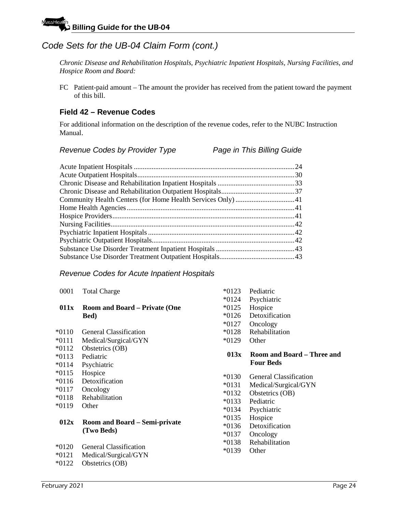*Chronic Disease and Rehabilitation Hospitals, Psychiatric Inpatient Hospitals, Nursing Facilities, and Hospice Room and Board:*

FC Patient-paid amount – The amount the provider has received from the patient toward the payment of this bill.

### **Field 42 – Revenue Codes**

For additional information on the description of the revenue codes, refer to the NUBC Instruction Manual.

### *Revenue Codes by Provider Type Page in This Billing Guide*

### *Revenue Codes for Acute Inpatient Hospitals*

| 0001    | <b>Total Charge</b>                                |
|---------|----------------------------------------------------|
| 011x    | <b>Room and Board – Private (One</b><br>Bed)       |
| $*0110$ | General Classification                             |
| $*0111$ | Medical/Surgical/GYN                               |
| $*0112$ | Obstetrics (OB)                                    |
| $*0113$ | Pediatric                                          |
| $*0114$ | Psychiatric                                        |
| $*0115$ | Hospice                                            |
| $*0116$ | Detoxification                                     |
| $*0117$ | Oncology                                           |
| $*0118$ | Rehabilitation                                     |
| *0119   | Other                                              |
| 012x    | <b>Room and Board – Semi-private</b><br>(Two Beds) |
| $*0120$ | General Classification                             |
| $*0121$ | Medical/Surgical/GYN                               |
| $*0122$ | Obstetrics (OB)                                    |
|         |                                                    |

- <span id="page-25-0"></span>\*0123 Pediatric
- \*0124 Psychiatric
- \*0125 Hospice
- \*0126 Detoxification
- \*0127 Oncology
- \*0128 Rehabilitation
- \*0129 Other

### **013x Room and Board – Three and Four Beds**

- \*0130 General Classification
- \*0131 Medical/Surgical/GYN
- \*0132 Obstetrics (OB)
- \*0133 Pediatric
- \*0134 Psychiatric
- \*0135 Hospice
- \*0136 Detoxification
- \*0137 Oncology
- \*0138 Rehabilitation
- \*0139 Other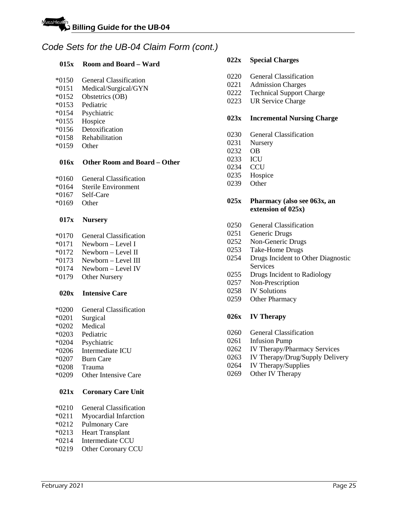### **015x Room and Board – Ward**

- \*0150 General Classification
- \*0151 Medical/Surgical/GYN
- \*0152 Obstetrics (OB)
- \*0153 Pediatric
- \*0154 Psychiatric \*0155 Hospice
- \*0156 Detoxification
- \*0158 Rehabilitation
- \*0159 Other
- 

### **016x Other Room and Board – Other**

- \*0160 General Classification
- \*0164 Sterile Environment
- \*0167 Self-Care
- \*0169 Other

### **017x Nursery**

- \*0170 General Classification
- \*0171 Newborn Level I
- \*0172 Newborn Level II
- \*0173 Newborn Level III
- \*0174 Newborn Level IV
- \*0179 Other Nursery

### **020x Intensive Care**

- \*0200 General Classification
- \*0201 Surgical
- \*0202 Medical
- \*0203 Pediatric
- \*0204 Psychiatric
- \*0206 Intermediate ICU
- \*0207 Burn Care
- \*0208 Trauma
- \*0209 Other Intensive Care

### **021x Coronary Care Unit**

- \*0210 General Classification
- \*0211 Myocardial Infarction
- \*0212 Pulmonary Care
- \*0213 Heart Transplant
- \*0214 Intermediate CCU
- \*0219 Other Coronary CCU

### **022x Special Charges**

- 0220 General Classification
- 0221 Admission Charges<br>0222 Technical Support C
- Technical Support Charge
- 0223 UR Service Charge

### **023x Incremental Nursing Charge**

- 0230 General Classification
- 0231 Nursery
- 0232 OB
- 0233 ICU
- 0234 CCU
- 0235 Hospice
- 0239 Other

### **025x Pharmacy (also see 063x, an extension of 025x)**

- 0250 General Classification
- 0251 Generic Drugs<br>0252 Non-Generic D
- Non-Generic Drugs
- 0253 Take-Home Drugs
- 0254 Drugs Incident to Other Diagnostic Services
- 0255 Drugs Incident to Radiology
- 0257 Non-Prescription
- 0258 IV Solutions
- 0259 Other Pharmacy

### **026x IV Therapy**

- 0260 General Classification
- 0261 Infusion Pump
- 0262 IV Therapy/Pharmacy Services
- 0263 IV Therapy/Drug/Supply Delivery
- 0264 IV Therapy/Supplies
- 0269 Other IV Therapy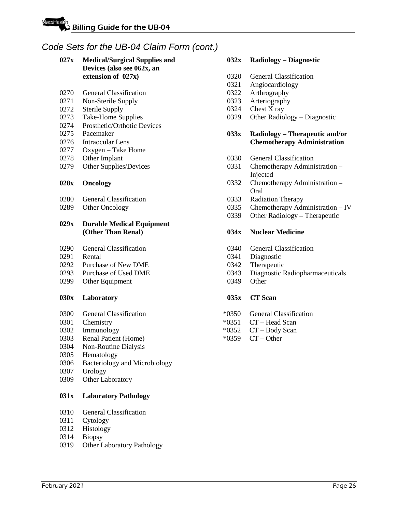- **027x Medical/Surgical Supplies and Devices (also see 062x, an extension of 027x)**
- 0270 General Classification
- 0271 Non-Sterile Supply
- 0272 Sterile Supply<br>0273 Take-Home Su
- Take-Home Supplies
- 0274 Prosthetic/Orthotic Devices
- 0275 Pacemaker
- 0276 Intraocular Lens
- 0277 Oxygen Take Home
- 0278 Other Implant
- 0279 Other Supplies/Devices
- **028x Oncology**
- 0280 General Classification
- 0289 Other Oncology

### **029x Durable Medical Equipment (Other Than Renal)**

- 0290 General Classification
- 0291 Rental
- 0292 Purchase of New DME
- 0293 Purchase of Used DME
- 0299 Other Equipment

### **030x Laboratory**

- 0300 General Classification
- 0301 Chemistry<br>0302 Immunolog
- Immunology
- 0303 Renal Patient (Home)
- 0304 Non-Routine Dialysis<br>0305 Hematology
- Hematology
- 0306 Bacteriology and Microbiology
- 0307 Urology
- 0309 Other Laboratory

### **031x Laboratory Pathology**

- 0310 General Classification
- 0311 Cytology
- 0312 Histology
- 0314 Biopsy
- 0319 Other Laboratory Pathology

### **032x Radiology – Diagnostic**

- 0320 General Classification
- 0321 Angiocardiology<br>0322 Arthrography
- Arthrography
- 0323 Arteriography<br>0324 Chest X rav
- $\text{Check } X$  ray
- 0329 Other Radiology Diagnostic

### **033x Radiology – Therapeutic and/or Chemotherapy Administration**

- 0330 General Classification
- 0331 Chemotherapy Administration Injected
- 0332 Chemotherapy Administration Oral
- 0333 Radiation Therapy
- 0335 Chemotherapy Administration IV
- 0339 Other Radiology Therapeutic

### **034x Nuclear Medicine**

- 0340 General Classification
- 0341 Diagnostic
- 0342 Therapeutic
- 0343 Diagnostic Radiopharmaceuticals
- 0349 Other

### **035x CT Scan**

- \*0350 General Classification
- \*0351 CT Head Scan
- \*0352 CT Body Scan
- $*0359$  CT Other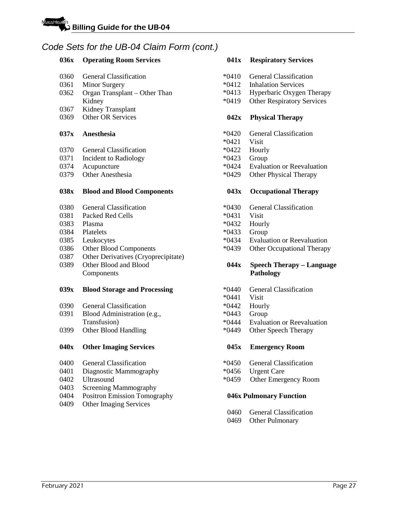## **036x Operating Room Services** 0360 General Classification 0361 Minor Surgery 0362 Organ Transplant – Other Than Kidney 0367 Kidney Transplant<br>0369 Other OR Services Other OR Services **037x Anesthesia** 0370 General Classification 0371 Incident to Radiology 0374 Acupuncture 0379 Other Anesthesia **038x Blood and Blood Components** 0380 General Classification 0381 Packed Red Cells 0383 Plasma 0384 Platelets 0385 Leukocytes 0386 Other Blood Components<br>0387 Other Derivatives (Cryopi Other Derivatives (Cryoprecipitate) 0389 Other Blood and Blood Components **039x Blood Storage and Processing** 0390 General Classification 0391 Blood Administration (e.g., Transfusion) 0399 Other Blood Handling **040x Other Imaging Services** 0400 General Classification

- 0401 Diagnostic Mammography
- 0402 Ultrasound
- 0403 Screening Mammography
- 0404 Positron Emission Tomography
- 0409 Other Imaging Services

### **041x Respiratory Services**

- \*0410 General Classification
- \*0412 Inhalation Services
- \*0413 Hyperbaric Oxygen Therapy
- \*0419 Other Respiratory Services

### **042x Physical Therapy**

- \*0420 General Classification
- \*0421 Visit
- \*0422 Hourly
- \*0423 Group
- \*0424 Evaluation or Reevaluation
- Other Physical Therapy

### **043x Occupational Therapy**

- \*0430 General Classification
- \*0431 Visit
- \*0432 Hourly
- \*0433 Group
- \*0434 Evaluation or Reevaluation
- \*0439 Other Occupational Therapy

### **044x Speech Therapy – Language Pathology**

- \*0440 General Classification
- \*0441 Visit
- \*0442 Hourly
- \*0443 Group
- \*0444 Evaluation or Reevaluation
- \*0449 Other Speech Therapy

#### **045x Emergency Room**

- \*0450 General Classification
- \*0456 Urgent Care
- \*0459 Other Emergency Room

#### **046x Pulmonary Function**

- 0460 General Classification
- 0469 Other Pulmonary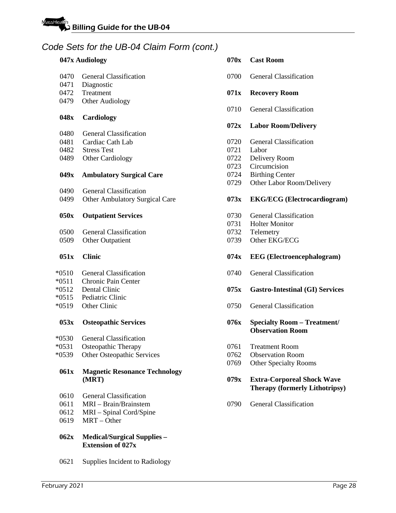|                               | 070x                                                                                                                                                                                                                                                                                                                                                                                                                                                                                                                                                    | $\overline{\mathbf{C}}$                                                                                      |
|-------------------------------|---------------------------------------------------------------------------------------------------------------------------------------------------------------------------------------------------------------------------------------------------------------------------------------------------------------------------------------------------------------------------------------------------------------------------------------------------------------------------------------------------------------------------------------------------------|--------------------------------------------------------------------------------------------------------------|
| <b>General Classification</b> | 0700                                                                                                                                                                                                                                                                                                                                                                                                                                                                                                                                                    | $\mathsf{C}$                                                                                                 |
| Diagnostic                    |                                                                                                                                                                                                                                                                                                                                                                                                                                                                                                                                                         |                                                                                                              |
| Treatment                     | 071x                                                                                                                                                                                                                                                                                                                                                                                                                                                                                                                                                    | $\mathbf I$                                                                                                  |
| Other Audiology               |                                                                                                                                                                                                                                                                                                                                                                                                                                                                                                                                                         |                                                                                                              |
|                               | 0710                                                                                                                                                                                                                                                                                                                                                                                                                                                                                                                                                    | $\mathsf{C}$                                                                                                 |
|                               |                                                                                                                                                                                                                                                                                                                                                                                                                                                                                                                                                         | $\bf{I}$                                                                                                     |
|                               |                                                                                                                                                                                                                                                                                                                                                                                                                                                                                                                                                         |                                                                                                              |
|                               |                                                                                                                                                                                                                                                                                                                                                                                                                                                                                                                                                         | $\mathsf{C}$                                                                                                 |
|                               |                                                                                                                                                                                                                                                                                                                                                                                                                                                                                                                                                         | I                                                                                                            |
|                               |                                                                                                                                                                                                                                                                                                                                                                                                                                                                                                                                                         | $\Gamma$                                                                                                     |
|                               |                                                                                                                                                                                                                                                                                                                                                                                                                                                                                                                                                         | $\mathsf{C}$                                                                                                 |
|                               |                                                                                                                                                                                                                                                                                                                                                                                                                                                                                                                                                         | $\mathbf{F}$                                                                                                 |
|                               |                                                                                                                                                                                                                                                                                                                                                                                                                                                                                                                                                         | $\mathsf{C}$                                                                                                 |
| <b>General Classification</b> |                                                                                                                                                                                                                                                                                                                                                                                                                                                                                                                                                         |                                                                                                              |
|                               |                                                                                                                                                                                                                                                                                                                                                                                                                                                                                                                                                         | $\mathbf I$                                                                                                  |
|                               |                                                                                                                                                                                                                                                                                                                                                                                                                                                                                                                                                         |                                                                                                              |
| <b>Outpatient Services</b>    | 0730                                                                                                                                                                                                                                                                                                                                                                                                                                                                                                                                                    | $\mathsf{C}$                                                                                                 |
|                               | 0731                                                                                                                                                                                                                                                                                                                                                                                                                                                                                                                                                    | $\mathbf{I}$                                                                                                 |
| <b>General Classification</b> | 0732                                                                                                                                                                                                                                                                                                                                                                                                                                                                                                                                                    | $\mathbf{I}%$                                                                                                |
| Other Outpatient              | 0739                                                                                                                                                                                                                                                                                                                                                                                                                                                                                                                                                    | $\mathsf{C}$                                                                                                 |
| <b>Clinic</b>                 | 074x                                                                                                                                                                                                                                                                                                                                                                                                                                                                                                                                                    | $\mathbf I$                                                                                                  |
|                               |                                                                                                                                                                                                                                                                                                                                                                                                                                                                                                                                                         |                                                                                                              |
| <b>General Classification</b> | 0740                                                                                                                                                                                                                                                                                                                                                                                                                                                                                                                                                    | $\mathsf{C}$                                                                                                 |
| Chronic Pain Center           |                                                                                                                                                                                                                                                                                                                                                                                                                                                                                                                                                         |                                                                                                              |
|                               | 075x                                                                                                                                                                                                                                                                                                                                                                                                                                                                                                                                                    | $\mathbf$                                                                                                    |
|                               |                                                                                                                                                                                                                                                                                                                                                                                                                                                                                                                                                         |                                                                                                              |
|                               |                                                                                                                                                                                                                                                                                                                                                                                                                                                                                                                                                         | $\mathsf{C}$                                                                                                 |
| <b>Osteopathic Services</b>   | 076x                                                                                                                                                                                                                                                                                                                                                                                                                                                                                                                                                    | S                                                                                                            |
|                               |                                                                                                                                                                                                                                                                                                                                                                                                                                                                                                                                                         | (                                                                                                            |
|                               |                                                                                                                                                                                                                                                                                                                                                                                                                                                                                                                                                         |                                                                                                              |
|                               |                                                                                                                                                                                                                                                                                                                                                                                                                                                                                                                                                         | I                                                                                                            |
|                               |                                                                                                                                                                                                                                                                                                                                                                                                                                                                                                                                                         | C                                                                                                            |
|                               |                                                                                                                                                                                                                                                                                                                                                                                                                                                                                                                                                         | $\mathsf{C}$                                                                                                 |
|                               |                                                                                                                                                                                                                                                                                                                                                                                                                                                                                                                                                         |                                                                                                              |
|                               |                                                                                                                                                                                                                                                                                                                                                                                                                                                                                                                                                         | I<br>Γ                                                                                                       |
|                               |                                                                                                                                                                                                                                                                                                                                                                                                                                                                                                                                                         |                                                                                                              |
|                               |                                                                                                                                                                                                                                                                                                                                                                                                                                                                                                                                                         | C                                                                                                            |
|                               |                                                                                                                                                                                                                                                                                                                                                                                                                                                                                                                                                         |                                                                                                              |
|                               |                                                                                                                                                                                                                                                                                                                                                                                                                                                                                                                                                         |                                                                                                              |
|                               |                                                                                                                                                                                                                                                                                                                                                                                                                                                                                                                                                         |                                                                                                              |
|                               |                                                                                                                                                                                                                                                                                                                                                                                                                                                                                                                                                         |                                                                                                              |
|                               | 047x Audiology<br>Cardiology<br><b>General Classification</b><br>Cardiac Cath Lab<br>0482<br><b>Stress Test</b><br><b>Other Cardiology</b><br><b>Ambulatory Surgical Care</b><br>Other Ambulatory Surgical Care<br>$*0512$<br>Dental Clinic<br>$*0515$<br>Pediatric Clinic<br>$*0519$<br>Other Clinic<br><b>General Classification</b><br>Osteopathic Therapy<br><b>Other Osteopathic Services</b><br><b>Magnetic Resonance Technology</b><br>(MRT)<br><b>General Classification</b><br>MRI - Brain/Brainstem<br>MRI-Spinal Cord/Spine<br>$MRT - Other$ | 072x<br>0720<br>0721<br>0722<br>0723<br>0724<br>0729<br>073x<br>0750<br>0761<br>0762<br>0769<br>079x<br>0790 |

0621 Supplies Incident to Radiology

| 070x | <b>Cast Room</b>                                                           |
|------|----------------------------------------------------------------------------|
| 0700 | <b>General Classification</b>                                              |
| 071x | <b>Recovery Room</b>                                                       |
| 0710 | General Classification                                                     |
| 072x | <b>Labor Room/Delivery</b>                                                 |
| 0720 | <b>General Classification</b>                                              |
| 0721 | Labor                                                                      |
| 0722 | Delivery Room                                                              |
| 0723 | Circumcision                                                               |
| 0724 | <b>Birthing Center</b>                                                     |
| 0729 | Other Labor Room/Delivery                                                  |
| 073x | <b>EKG/ECG</b> (Electrocardiogram)                                         |
| 0730 | <b>General Classification</b>                                              |
| 0731 | <b>Holter Monitor</b>                                                      |
| 0732 | Telemetry                                                                  |
| 0739 | Other EKG/ECG                                                              |
| 074x | <b>EEG</b> (Electroencephalogram)                                          |
| 0740 | <b>General Classification</b>                                              |
| 075x | <b>Gastro-Intestinal (GI) Services</b>                                     |
| 0750 | <b>General Classification</b>                                              |
| 076x | <b>Specialty Room - Treatment/</b><br><b>Observation Room</b>              |
| 0761 | <b>Treatment Room</b>                                                      |
| 0762 | <b>Observation Room</b>                                                    |
| 0769 | <b>Other Specialty Rooms</b>                                               |
| 079x | <b>Extra-Corporeal Shock Wave</b><br><b>Therapy (formerly Lithotripsy)</b> |
| 0790 | <b>General Classification</b>                                              |
|      |                                                                            |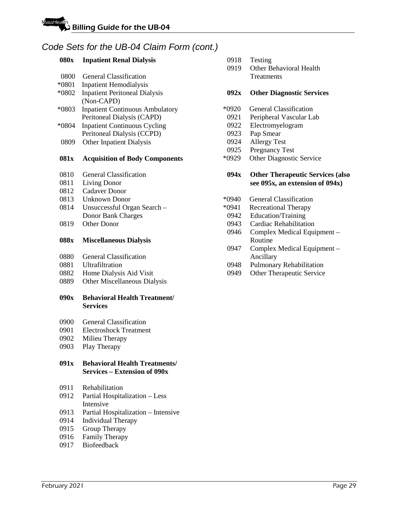| 080x  | <b>Inpatient Renal Dialysis</b>                                             |
|-------|-----------------------------------------------------------------------------|
| 0800  | <b>General Classification</b>                                               |
| *0801 | <b>Inpatient Hemodialysis</b>                                               |
| *0802 | <b>Inpatient Peritoneal Dialysis</b>                                        |
|       | (Non-CAPD)                                                                  |
| *0803 | <b>Inpatient Continuous Ambulatory</b>                                      |
|       | Peritoneal Dialysis (CAPD)                                                  |
| *0804 | <b>Inpatient Continuous Cycling</b>                                         |
|       | Peritoneal Dialysis (CCPD)                                                  |
| 0809  | <b>Other Inpatient Dialysis</b>                                             |
| 081x  | <b>Acquisition of Body Components</b>                                       |
| 0810  | <b>General Classification</b>                                               |
| 0811  | <b>Living Donor</b>                                                         |
| 0812  | <b>Cadaver Donor</b>                                                        |
| 0813  | Unknown Donor                                                               |
| 0814  | Unsuccessful Organ Search -                                                 |
|       | Donor Bank Charges                                                          |
| 0819  | Other Donor                                                                 |
| 088x  | <b>Miscellaneous Dialysis</b>                                               |
| 0880  | <b>General Classification</b>                                               |
| 0881  | Ultrafiltration                                                             |
| 0882  | Home Dialysis Aid Visit                                                     |
| 0889  | <b>Other Miscellaneous Dialysis</b>                                         |
| 090x  | <b>Behavioral Health Treatment/</b><br><b>Services</b>                      |
| 0900  | <b>General Classification</b>                                               |
| 0901  | <b>Electroshock Treatment</b>                                               |
| 0902  | Milieu Therapy                                                              |
| 0903  | Play Therapy                                                                |
| 091x  | <b>Behavioral Health Treatments/</b><br><b>Services - Extension of 090x</b> |
| 0911  | Rehabilitation                                                              |
| 0912  | Partial Hospitalization - Less                                              |

- Intensive
- 0913 Partial Hospitalization Intensive
- 0914 Individual Therapy
- 0915 Group Therapy
- 0916 Family Therapy
- 0917 Biofeedback
- 0918 Testing
- 0919 Other Behavioral Health **Treatments**

### **092x Other Diagnostic Services**

- \*0920 General Classification
- 0921 Peripheral Vascular Lab
- 0922 Electromyelogram
- 0923 Pap Smear
- 
- 0924 Allergy Test<br>0925 Pregnancy To Pregnancy Test
- \*0929 Other Diagnostic Service

### **094x Other Therapeutic Services (also see 095x, an extension of 094x)**

- \*0940 General Classification
- \*0941 Recreational Therapy
- 0942 Education/Training
- 0943 Cardiac Rehabilitation
- 0946 Complex Medical Equipment Routine
- 0947 Complex Medical Equipment Ancillary
- 0948 Pulmonary Rehabilitation
- 0949 Other Therapeutic Service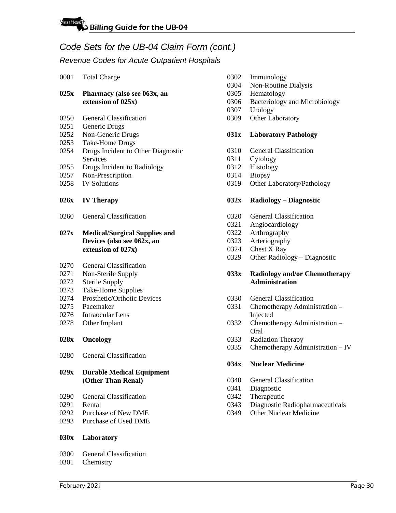*Revenue Codes for Acute Outpatient Hospitals*

| 0001   | <b>Total Charge</b>                                                                      |  |  |
|--------|------------------------------------------------------------------------------------------|--|--|
| 025x   | Pharmacy (also see 063x, an<br>extension of 025x)                                        |  |  |
| 0250   | <b>General Classification</b>                                                            |  |  |
| 0251   | Generic Drugs                                                                            |  |  |
| 0252   | Non-Generic Drugs                                                                        |  |  |
| 0253   | <b>Take-Home Drugs</b>                                                                   |  |  |
| 0254   | Drugs Incident to Other Diagnostic<br>Services                                           |  |  |
| 0255   | Drugs Incident to Radiology                                                              |  |  |
| 0257   | Non-Prescription                                                                         |  |  |
| 0258   | <b>IV Solutions</b>                                                                      |  |  |
| 026x   | <b>IV Therapy</b>                                                                        |  |  |
| (1260) | General Classification                                                                   |  |  |
| 027x   | <b>Medical/Surgical Supplies and</b><br>Devices (also see 062x, an<br>extension of 027x) |  |  |
| 0270   | <b>General Classification</b>                                                            |  |  |
| 0271   | Non-Sterile Supply                                                                       |  |  |
| 0272   | <b>Sterile Supply</b>                                                                    |  |  |
| 0273   | Take-Home Supplies                                                                       |  |  |
| 0274   | Prosthetic/Orthotic Devices                                                              |  |  |
| 0275   | Pacemaker                                                                                |  |  |
| 0276   | <b>Intraocular Lens</b>                                                                  |  |  |
| 0278   | Other Implant                                                                            |  |  |
| 028x   | <b>Oncology</b>                                                                          |  |  |
| 0280   | <b>General Classification</b>                                                            |  |  |
| 029x   | <b>Durable Medical Equipment</b><br>(Other Than Renal)                                   |  |  |
| 0290   | <b>General Classification</b>                                                            |  |  |
| 0291   | Rental                                                                                   |  |  |
| 0292   | <b>Purchase of New DME</b>                                                               |  |  |
| 0293   | Purchase of Used DME                                                                     |  |  |
| 030x   | Laboratory                                                                               |  |  |
| 0300   | <b>General Classification</b>                                                            |  |  |

0301 Chemistry

<span id="page-31-0"></span>

| 0302 Immunology           |
|---------------------------|
| 0304 Non-Routine Dialysis |
| 0305 Hematology           |

- 0306 Bacteriology and Microbiology
- 0307 Urology
- 0309 Other Laboratory

### **031x Laboratory Pathology**

- 0310 General Classification
- 0311 Cytology
- 0312 Histology
- 0314 Biopsy
- 0319 Other Laboratory/Pathology

### **032x Radiology – Diagnostic**

- 0320 General Classification
- 0321 Angiocardiology
- 0322 Arthrography
- 0323 Arteriography
- 0324 Chest X Ray
- 0329 Other Radiology Diagnostic

### **033x Radiology and/or Chemotherapy Administration**

- 0330 General Classification
- 0331 Chemotherapy Administration Injected
- 0332 Chemotherapy Administration Oral
- 0333 Radiation Therapy
- 0335 Chemotherapy Administration IV

### **034x Nuclear Medicine**

- 0340 General Classification<br>0341 Diagnostic
- Diagnostic
- 0342 Therapeutic
- 0343 Diagnostic Radiopharmaceuticals
- 0349 Other Nuclear Medicine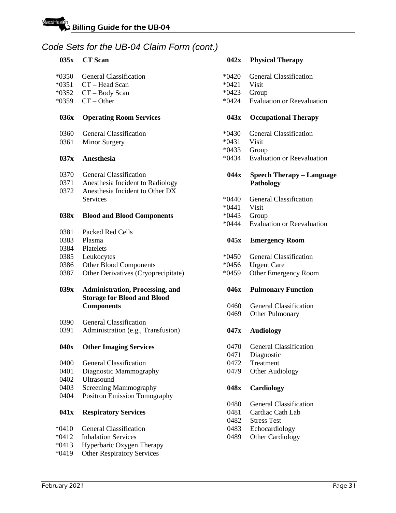| 035x    | <b>CT Scan</b>                         | 042x             |
|---------|----------------------------------------|------------------|
| $*0350$ | <b>General Classification</b>          | $*0420$          |
| $*0351$ | CT - Head Scan                         | $*0421$          |
|         | $*0352$ CT – Body Scan                 | $*0423$          |
|         | $*0359$ CT – Other                     | $*0424$          |
| 036x    | <b>Operating Room Services</b>         | 043x             |
| 0360    | <b>General Classification</b>          | *0430            |
| 0361    | Minor Surgery                          | $*0431$          |
|         |                                        | $*0433$          |
| 037x    | Anesthesia                             | $*0434$          |
| 0370    | <b>General Classification</b>          | 044x             |
| 0371    | Anesthesia Incident to Radiology       |                  |
| 0372    | Anesthesia Incident to Other DX        |                  |
|         | <b>Services</b>                        | $*0440$          |
|         |                                        | $*0441$          |
| 038x    | <b>Blood and Blood Components</b>      | $*0443$          |
|         |                                        | $*0444$          |
| 0381    | Packed Red Cells                       |                  |
| 0383    | Plasma                                 | 045x             |
| 0384    | Platelets                              |                  |
| 0385    | Leukocytes                             | $*0450$          |
| 0386    | <b>Other Blood Components</b>          | $*0456$          |
| 0387    | Other Derivatives (Cryoprecipitate)    | $*0459$          |
| 039x    | <b>Administration, Processing, and</b> | 046x             |
|         | <b>Storage for Blood and Blood</b>     |                  |
|         | <b>Components</b>                      | 0460             |
|         |                                        | 0469             |
| 0390    | <b>General Classification</b>          |                  |
| 0391    | Administration (e.g., Transfusion)     | 047 <sub>x</sub> |
| 040x    | <b>Other Imaging Services</b>          | 0470             |
|         |                                        | 0471             |
| 0400    | <b>General Classification</b>          | 0472             |
| 0401    | Diagnostic Mammography                 | 0479             |
| 0402    | <b>Ultrasound</b>                      |                  |
| 0403    | <b>Screening Mammography</b>           | 048x             |
| 0404    | <b>Positron Emission Tomography</b>    |                  |
|         |                                        | 0480             |
| 041x    | <b>Respiratory Services</b>            | 0481             |
|         |                                        | 0482             |
| $*0410$ | <b>General Classification</b>          | 0483             |
| $*0412$ | <b>Inhalation Services</b>             | 0489             |
| $*0413$ | Hyperbaric Oxygen Therapy              |                  |
| $*0419$ | <b>Other Respiratory Services</b>      |                  |
|         |                                        |                  |

### **042x Physical Therapy**

| <b>General Classification</b>                        |
|------------------------------------------------------|
| Visit                                                |
| Group                                                |
| <b>Evaluation or Reevaluation</b>                    |
|                                                      |
| <b>Occupational Therapy</b>                          |
| <b>General Classification</b>                        |
| Visit                                                |
| Group                                                |
| <b>Evaluation or Reevaluation</b>                    |
| <b>Speech Therapy – Language</b><br><b>Pathology</b> |
| <b>General Classification</b>                        |
| Visit                                                |
| Group                                                |
| <b>Evaluation or Reevaluation</b>                    |
| <b>Emergency Room</b>                                |
| <b>General Classification</b>                        |
| <b>Urgent Care</b>                                   |
| Other Emergency Room                                 |
| <b>Pulmonary Function</b>                            |
| <b>General Classification</b>                        |
| <b>Other Pulmonary</b>                               |
|                                                      |
| <b>Audiology</b>                                     |
| <b>General Classification</b>                        |
| Diagnostic                                           |
| Treatment                                            |
| <b>Other Audiology</b>                               |
| Cardiology                                           |
| <b>General Classification</b>                        |
| Cardiac Cath Lab                                     |
| <b>Stress Test</b>                                   |
| Echocardiology                                       |
|                                                      |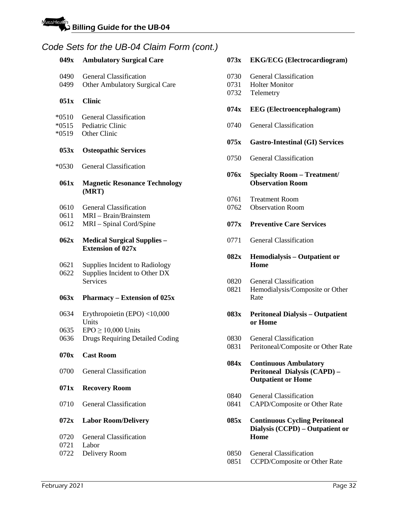## Billing Guide for the UB-04

## *Code Sets for the UB-04 Claim Form (cont.)*

| 049x               | <b>Ambulatory Surgical Care</b>                                  | $\mathbf{0}^{\prime}$            |
|--------------------|------------------------------------------------------------------|----------------------------------|
| 0490               | <b>General Classification</b>                                    | $\overline{0}$                   |
| 0499               | <b>Other Ambulatory Surgical Care</b>                            | $\overline{0}$<br>$\overline{0}$ |
| 051x               | <b>Clinic</b>                                                    | $\mathbf{0}^{\prime}$            |
| $*0510$            | <b>General Classification</b>                                    |                                  |
| $*0515$<br>$*0519$ | Pediatric Clinic<br>Other Clinic                                 | $\overline{0}$                   |
|                    |                                                                  | $\mathbf{0}'$                    |
| 053x               | <b>Osteopathic Services</b>                                      | $\overline{0}$                   |
| $*0530$            | <b>General Classification</b>                                    |                                  |
| 061x               | <b>Magnetic Resonance Technology</b>                             | $\mathbf{0}^{\prime}$            |
|                    | (MRT)                                                            |                                  |
| 0610               | <b>General Classification</b>                                    | $\overline{0}$<br>$\overline{0}$ |
| 0611               | MRI - Brain/Brainstem                                            |                                  |
| 0612               | MRI-Spinal Cord/Spine                                            | $\mathbf{0}'$                    |
| 062x               | <b>Medical Surgical Supplies -</b><br><b>Extension of 027x</b>   | $\overline{0}$                   |
|                    |                                                                  | $\boldsymbol{0}$                 |
| 0621               | Supplies Incident to Radiology                                   |                                  |
| 0622               | Supplies Incident to Other DX                                    |                                  |
|                    | Services                                                         | 0 <sup>8</sup><br>08             |
| 063x               | <b>Pharmacy – Extension of 025x</b>                              |                                  |
| 0634               | Erythropoietin $(EPO) < 10,000$                                  | $\mathbf{0}$                     |
|                    | Units                                                            |                                  |
| 0635<br>0636       | $EPO \ge 10,000$ Units<br><b>Drugs Requiring Detailed Coding</b> | 0 <sup>8</sup>                   |
|                    |                                                                  | 0 <sup>8</sup>                   |
| 070x               | <b>Cast Room</b>                                                 | 08                               |
| 0700               | <b>General Classification</b>                                    |                                  |
| 071x               | <b>Recovery Room</b>                                             |                                  |
| 0710               | <b>General Classification</b>                                    | 08<br>08                         |
|                    |                                                                  |                                  |
| 072x               | <b>Labor Room/Delivery</b>                                       | $\boldsymbol{0}$                 |
| 0720               | <b>General Classification</b>                                    |                                  |
| 0721               | Labor                                                            |                                  |
| 0722               | Delivery Room                                                    | 08<br>08                         |
|                    |                                                                  |                                  |

| 073x                 | <b>EKG/ECG</b> (Electrocardiogram)                                                        |
|----------------------|-------------------------------------------------------------------------------------------|
| 0730<br>0731<br>0732 | <b>General Classification</b><br><b>Holter Monitor</b><br>Telemetry                       |
| 074x                 | <b>EEG</b> (Electroencephalogram)                                                         |
| 0740                 | <b>General Classification</b>                                                             |
| 075x                 | <b>Gastro-Intestinal (GI) Services</b>                                                    |
| 0750                 | <b>General Classification</b>                                                             |
| 076x                 | <b>Specialty Room - Treatment/</b><br><b>Observation Room</b>                             |
| 0761<br>0762         | <b>Treatment Room</b><br><b>Observation Room</b>                                          |
| 077x                 | <b>Preventive Care Services</b>                                                           |
| 0771                 | <b>General Classification</b>                                                             |
| 082x                 | <b>Hemodialysis - Outpatient or</b><br>Home                                               |
| 0820<br>0821         | <b>General Classification</b><br>Hemodialysis/Composite or Other<br>Rate                  |
| 083x                 | <b>Peritoneal Dialysis - Outpatient</b><br>or Home                                        |
| 0830<br>0831         | <b>General Classification</b><br>Peritoneal/Composite or Other Rate                       |
| 084x                 | <b>Continuous Ambulatory</b><br>Peritoneal Dialysis (CAPD) -<br><b>Outpatient or Home</b> |
| 0840<br>0841         | <b>General Classification</b><br><b>CAPD/Composite or Other Rate</b>                      |
| 085x                 | <b>Continuous Cycling Peritoneal</b><br>Dialysis (CCPD) - Outpatient or<br>Home           |

- 
- 850 General Classification<br>851 CCPD/Composite or O CCPD/Composite or Other Rate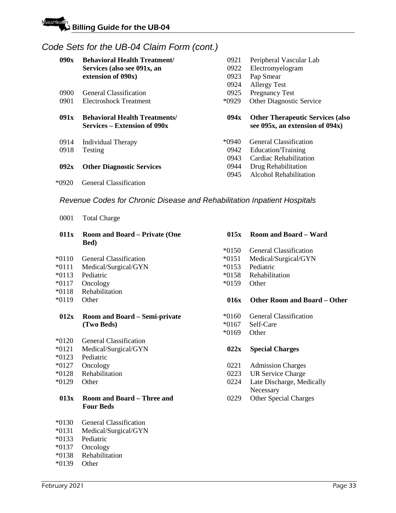## Billing Guide for the UB-04

## *Code Sets for the UB-04 Claim Form (cont.)*

| 090x  | <b>Behavioral Health Treatment/</b>                                         | 0921    | Peripheral Vascular Lab                                                       |
|-------|-----------------------------------------------------------------------------|---------|-------------------------------------------------------------------------------|
|       | Services (also see 091x, an                                                 | 0922    | Electromyelogram                                                              |
|       | extension of 090x)                                                          | 0923    | Pap Smear                                                                     |
|       |                                                                             | 0924    | <b>Allergy Test</b>                                                           |
| 0900  | <b>General Classification</b>                                               | 0925    | <b>Pregnancy Test</b>                                                         |
| 0901  | Electroshock Treatment                                                      | *0929   | <b>Other Diagnostic Service</b>                                               |
| 091x  | <b>Behavioral Health Treatments/</b><br><b>Services – Extension of 090x</b> | 094x    | <b>Other Therapeutic Services (also</b><br>see 095x, an extension of $094x$ ) |
| 0914  | Individual Therapy                                                          | $*0940$ | <b>General Classification</b>                                                 |
| 0918  | <b>Testing</b>                                                              | 0942    | Education/Training                                                            |
|       |                                                                             | 0943    | Cardiac Rehabilitation                                                        |
| 092x  |                                                                             | 0944    | Drug Rehabilitation                                                           |
|       | <b>Other Diagnostic Services</b>                                            |         |                                                                               |
|       |                                                                             | 0945    | Alcohol Rehabilitation                                                        |
| *0920 | <b>General Classification</b>                                               |         |                                                                               |

- *Revenue Codes for Chronic Disease and Rehabilitation Inpatient Hospitals*
- 0001 Total Charge
- **011x Room and Board – Private (One Bed)**
- \*0110 General Classification
- \*0111 Medical/Surgical/GYN
- \*0113 Pediatric
- \*0117 Oncology
- \*0118 Rehabilitation
- \*0119 Other

### **012x Room and Board – Semi-private (Two Beds)**

- \*0120 General Classification
- \*0121 Medical/Surgical/GYN
- \*0123 Pediatric
- \*0127 Oncology
- \*0128 Rehabilitation
- \*0129 Other
- **013x Room and Board – Three and Four Beds**
- \*0130 General Classification
- \*0131 Medical/Surgical/GYN
- \*0133 Pediatric
- \*0137 Oncology
- \*0138 Rehabilitation
- \*0139 Other

### <span id="page-34-0"></span>**015x Room and Board – Ward**

- \*0150 General Classification
- \*0151 Medical/Surgical/GYN
- \*0153 Pediatric
- \*0158 Rehabilitation
- \*0159 Other

### **016x Other Room and Board – Other**

- \*0160 General Classification
- \*0167 Self-Care
- \*0169 Other

### **022x Special Charges**

- 0221 Admission Charges
- 0223 UR Service Charge<br>0224 Late Discharge, Me
- Late Discharge, Medically Necessary
- 0229 Other Special Charges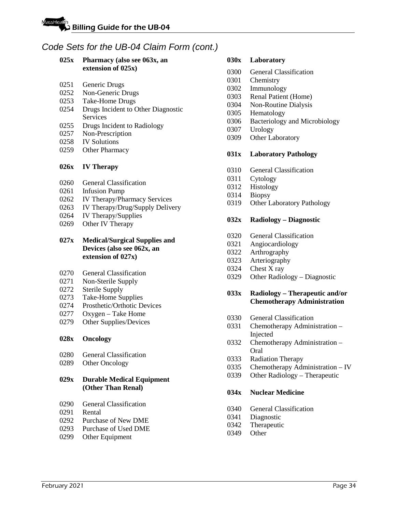| 025x | Pharmacy (also see 063x, an |
|------|-----------------------------|
|      | extension of $025x$ )       |

- 0251 Generic Drugs
- 0252 Non-Generic Drugs
- 0253 Take-Home Drugs
- 0254 Drugs Incident to Other Diagnostic Services
- 0255 Drugs Incident to Radiology
- 0257 Non-Prescription
- 0258 IV Solutions
- 0259 Other Pharmacy

### **026x IV Therapy**

- 0260 General Classification
- 0261 Infusion Pump
- 0262 IV Therapy/Pharmacy Services
- 0263 IV Therapy/Drug/Supply Delivery
- 0264 IV Therapy/Supplies
- 0269 Other IV Therapy
- **027x Medical/Surgical Supplies and Devices (also see 062x, an extension of 027x)**
- 0270 General Classification
- 0271 Non-Sterile Supply
- 0272 Sterile Supply
- 0273 Take-Home Supplies
- 0274 Prosthetic/Orthotic Devices<br>0277 Oxygen Take Home
- Oxygen Take Home
- 0279 Other Supplies/Devices

### **028x Oncology**

- 0280 General Classification
- 0289 Other Oncology

### **029x Durable Medical Equipment (Other Than Renal)**

- 0290 General Classification
- 0291 Rental
- 0292 Purchase of New DME
- 0293 Purchase of Used DME
- 0299 Other Equipment

### **030x Laboratory**

- 0300 General Classification
- 0301 Chemistry
- 0302 Immunology
- 0303 Renal Patient (Home)
- 0304 Non-Routine Dialysis
- 0305 Hematology
- 0306 Bacteriology and Microbiology
- 0307 Urology
- 0309 Other Laboratory

### **031x Laboratory Pathology**

- 0310 General Classification
- 0311 Cytology
- 0312 Histology
- 0314 Biopsy
- 0319 Other Laboratory Pathology

### **032x Radiology – Diagnostic**

- 0320 General Classification
- 0321 Angiocardiology
- 0322 Arthrography
- 0323 Arteriography
- 0324 Chest X ray
- 0329 Other Radiology Diagnostic

### **033x Radiology – Therapeutic and/or Chemotherapy Administration**

- 0330 General Classification
- 0331 Chemotherapy Administration Injected
- 0332 Chemotherapy Administration Oral
- 0333 Radiation Therapy
- 0335 Chemotherapy Administration IV
- 0339 Other Radiology Therapeutic

### **034x Nuclear Medicine**

- 0340 General Classification
- 0341 Diagnostic
- 0342 Therapeutic
- 0349 Other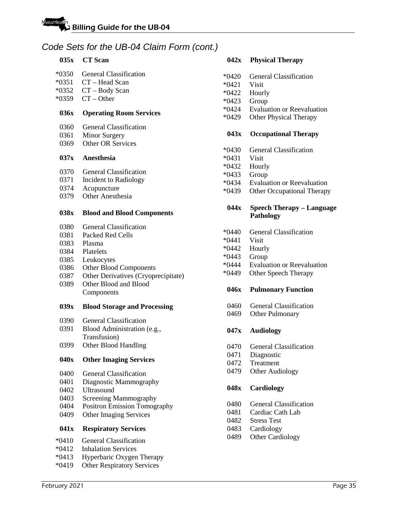| 035x         | <b>CT</b> Scan                                               | 04               |
|--------------|--------------------------------------------------------------|------------------|
| $*0350$      | <b>General Classification</b>                                | $*042$           |
| $*0351$      | CT - Head Scan                                               | $*042$           |
| $*0352$      | CT - Body Scan                                               | $*042$           |
| $*0359$      | $CT - Other$                                                 | $*042$           |
|              |                                                              | $*042$           |
| 036x         | <b>Operating Room Services</b>                               | $*042$           |
| 0360         | <b>General Classification</b>                                |                  |
| 0361         | Minor Surgery                                                | 04               |
| 0369         | <b>Other OR Services</b>                                     |                  |
| 037x         | Anesthesia                                                   | $*04.$<br>$*04.$ |
|              |                                                              | $*04.$           |
| 0370         | <b>General Classification</b>                                | $*04.$           |
| 0371         | Incident to Radiology                                        | $*04.$           |
| 0374         | Acupuncture                                                  | $*043$           |
| 0379         | <b>Other Anesthesia</b>                                      |                  |
| 038x         | <b>Blood and Blood Components</b>                            | 04               |
|              |                                                              |                  |
| 0380         | <b>General Classification</b>                                | $*044$           |
| 0381         | Packed Red Cells                                             | $*044$           |
| 0383         | Plasma                                                       | $*044$           |
| 0384         | Platelets                                                    | $*044$           |
| 0385<br>0386 | Leukocytes                                                   | $*044$           |
| 0387         | Other Blood Components                                       | $*044$           |
| 0389         | Other Derivatives (Cryoprecipitate)<br>Other Blood and Blood |                  |
|              | Components                                                   | 04               |
|              |                                                              |                  |
| 039x         | <b>Blood Storage and Processing</b>                          | 04<br>04         |
| 0390         | <b>General Classification</b>                                |                  |
| 0391         | Blood Administration (e.g.,                                  | 04'              |
|              | Transfusion)                                                 |                  |
| 0399         | <b>Other Blood Handling</b>                                  | 04'              |
|              |                                                              | 04'              |
| 040x         | <b>Other Imaging Services</b>                                | 04'              |
| 0400         | <b>General Classification</b>                                | 04'              |
| 0401         | Diagnostic Mammography                                       |                  |
| 0402         | Ultrasound                                                   | 04               |
| 0403         | <b>Screening Mammography</b>                                 |                  |
| 0404         | <b>Positron Emission Tomography</b>                          | 04               |
| 0409         | <b>Other Imaging Services</b>                                | 04               |
|              |                                                              | 04               |
| 041x         | <b>Respiratory Services</b>                                  | 04<br>04         |
| $*0410$      | <b>General Classification</b>                                |                  |
| $*0412$      | <b>Inhalation Services</b>                                   |                  |
| $*0413$      | Hyperbaric Oxygen Therapy                                    |                  |
| $*0419$      | <b>Other Respiratory Services</b>                            |                  |

### **042x Physical Therapy**

| $*0420$ | <b>General Classification</b>                        |
|---------|------------------------------------------------------|
| $*0421$ | Visit                                                |
| $*0422$ | Hourly                                               |
| $*0423$ | Group                                                |
| $*0424$ | <b>Evaluation or Reevaluation</b>                    |
| $*0429$ | <b>Other Physical Therapy</b>                        |
| 043x    | <b>Occupational Therapy</b>                          |
| $*0430$ | <b>General Classification</b>                        |
| $*0431$ | Visit                                                |
| $*0432$ | Hourly                                               |
| $*0433$ | Group                                                |
| $*0434$ | <b>Evaluation or Reevaluation</b>                    |
| *0439   | <b>Other Occupational Therapy</b>                    |
| 044x    | <b>Speech Therapy - Language</b><br><b>Pathology</b> |
| $*0440$ | <b>General Classification</b>                        |
| $*0441$ | Visit                                                |
| $*0442$ | Hourly                                               |
| $*0443$ | Group                                                |
| $*0444$ | <b>Evaluation or Reevaluation</b>                    |
| *0449   | Other Speech Therapy                                 |
| 046x    | <b>Pulmonary Function</b>                            |
| 0460    | <b>General Classification</b>                        |
| 0469    | <b>Other Pulmonary</b>                               |
| 047x    | <b>Audiology</b>                                     |
| 0470    | <b>General Classification</b>                        |
| 0471    | Diagnostic                                           |
| 0472    | Treatment                                            |
| 0479    | <b>Other Audiology</b>                               |
| 048x    | Cardiology                                           |
| 0480    | <b>General Classification</b>                        |
| 0481    | Cardiac Cath Lab                                     |
| 0482    | <b>Stress Test</b>                                   |
| 0483    | Cardiology                                           |
| 0489    | <b>Other Cardiology</b>                              |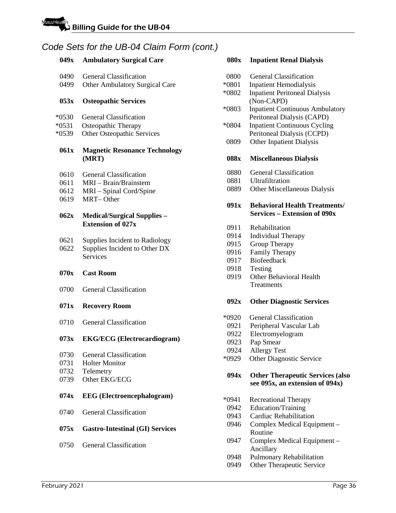## Billing Guide for the UB-04

## *Code Sets for the UB-04 Claim Form (cont.)*

| 049x    | <b>Ambulatory Surgical Care</b>        | 080     |
|---------|----------------------------------------|---------|
| 0490    | <b>General Classification</b>          | 0800    |
| 0499    | <b>Other Ambulatory Surgical Care</b>  | $*080$  |
|         |                                        | *0802   |
| 053x    | <b>Osteopathic Services</b>            |         |
|         |                                        | *0803   |
| $*0530$ | <b>General Classification</b>          |         |
| $*0531$ | <b>Osteopathic Therapy</b>             | $*0804$ |
| *0539   | <b>Other Osteopathic Services</b>      |         |
|         |                                        | 0809    |
| 061x    | <b>Magnetic Resonance Technology</b>   |         |
|         | (MRT)                                  | 088     |
| 0610    | <b>General Classification</b>          | 088     |
| 0611    | MRI - Brain/Brainstem                  | 088     |
| 0612    | MRI-Spinal Cord/Spine                  | 088     |
| 0619    | MRT-Other                              |         |
|         |                                        | 091     |
| 062x    | <b>Medical/Surgical Supplies –</b>     |         |
|         | <b>Extension of 027x</b>               | 091     |
|         |                                        | $091-$  |
| 0621    | Supplies Incident to Radiology         | 091.    |
| 0622    | Supplies Incident to Other DX          | 091(    |
|         | <b>Services</b>                        | 091     |
|         |                                        | 091     |
| 070x    | <b>Cast Room</b>                       | 091     |
| 0700    | <b>General Classification</b>          |         |
| 071x    | <b>Recovery Room</b>                   | 092     |
|         |                                        |         |
| 0710    | <b>General Classification</b>          | $*0920$ |
|         |                                        | 092     |
| 073x    | <b>EKG/ECG</b> (Electrocardiogram)     | 092     |
|         |                                        | 092     |
| 0730    | <b>General Classification</b>          | 092     |
| 0731    | <b>Holter Monitor</b>                  | $*0929$ |
| 0732    | Telemetry                              |         |
| 0739    | Other EKG/ECG                          | 094     |
|         |                                        |         |
| 074x    | <b>EEG</b> (Electroencephalogram)      | $*094$  |
|         |                                        | 094.    |
| 0740    | <b>General Classification</b>          | 094     |
|         |                                        | 094     |
| 075x    | <b>Gastro-Intestinal (GI) Services</b> |         |
| 0750    | <b>General Classification</b>          | 094     |
|         |                                        |         |
|         |                                        | 094     |

## **080x Inpatient Renal Dialysis** 0 General Classification 1 Inpatient Hemodialysis 2 Inpatient Peritoneal Dialysis (Non-CAPD) <sup>3</sup> Inpatient Continuous Ambulatory Peritoneal Dialysis (CAPD) 4 Inpatient Continuous Cycling Peritoneal Dialysis (CCPD) 9 Other Inpatient Dialysis **088x Miscellaneous Dialysis**  0 General Classification 1 Ultrafiltration 9 Other Miscellaneous Dialysis **091x Behavioral Health Treatments/ Services – Extension of 090x** 1 Rehabilitation 4 Individual Therapy 5 Group Therapy 6 Family Therapy 7 Biofeedback 8 Testing 9 Other Behavioral Health **Treatments 092x Other Diagnostic Services** 0 General Classification 1 Peripheral Vascular Lab 2 Electromyelogram<br>3 Pap Smear Pap Smear 4 Allergy Test 9 Other Diagnostic Service **094x Other Therapeutic Services (also see 095x, an extension of 094x)** 1 Recreational Therapy 2 Education/Training

- 3 Cardiac Rehabilitation
- 6 Complex Medical Equipment Routine
- 7 Complex Medical Equipment Ancillary
- 8 Pulmonary Rehabilitation
- 0949 Other Therapeutic Service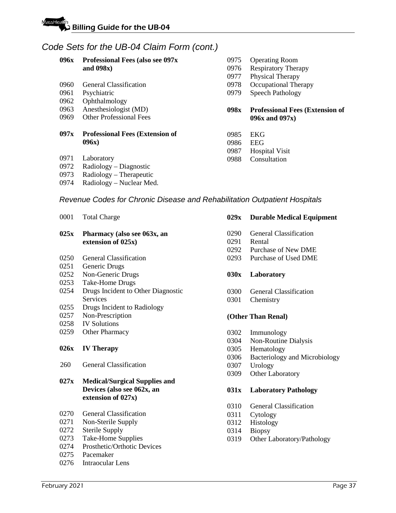| 096x | <b>Professional Fees (also see 097x</b> | 0975 | <b>Operating Room</b>                  |
|------|-----------------------------------------|------|----------------------------------------|
|      | and $098x$ )                            | 0976 | <b>Respiratory Therapy</b>             |
|      |                                         | 0977 | Physical Therapy                       |
| 0960 | <b>General Classification</b>           | 0978 | Occupational Therapy                   |
| 0961 | Psychiatric                             | 0979 | Speech Pathology                       |
| 0962 | Ophthalmology                           |      |                                        |
| 0963 | Anesthesiologist (MD)                   | 098x | <b>Professional Fees (Extension of</b> |
| 0969 | <b>Other Professional Fees</b>          |      | $096x$ and $097x$ )                    |
| 097x | <b>Professional Fees (Extension of</b>  | 0985 | <b>FKG</b>                             |

- 
- 0971 Laboratory

**096x)**

- 0972 Radiology Diagnostic
- 0973 Radiology Therapeutic
- <span id="page-38-0"></span>0974 Radiology – Nuclear Med.
- 0985 EKG 0986 EEG 0987 Hospital Visit
- 0988 Consultation
- *Revenue Codes for Chronic Disease and Rehabilitation Outpatient Hospitals*
- 0001 Total Charge
- **025x Pharmacy (also see 063x, an extension of 025x)**
- 0250 General Classification
- 0251 Generic Drugs
- 0252 Non-Generic Drugs
- 0253 Take-Home Drugs<br>0254 Drugs Incident to C
- Drugs Incident to Other Diagnostic Services
- 0255 Drugs Incident to Radiology
- 0257 Non-Prescription
- 0258 IV Solutions
- 0259 Other Pharmacy
- **026x IV Therapy**
- 260 General Classification
- **027x Medical/Surgical Supplies and Devices (also see 062x, an extension of 027x)**
- 0270 General Classification
- 0271 Non-Sterile Supply
- 0272 Sterile Supply
- 0273 Take-Home Supplies
- 0274 Prosthetic/Orthotic Devices
- 0275 Pacemaker
- 0276 Intraocular Lens

### **029x Durable Medical Equipment**

- 0290 General Classification 0291 Rental 0292 Purchase of New DME
- 0293 Purchase of Used DME

### **030x Laboratory**

- 0300 General Classification
- 0301 Chemistry

### **(Other Than Renal)**

- 0302 Immunology
- 0304 Non-Routine Dialysis
- 0305 Hematology
- 0306 Bacteriology and Microbiology
- 0307 Urology
- 0309 Other Laboratory

### **031x Laboratory Pathology**

- 0310 General Classification<br>0311 Cytology
- Cytology
- 0312 Histology
- 0314 Biopsy
- 0319 Other Laboratory/Pathology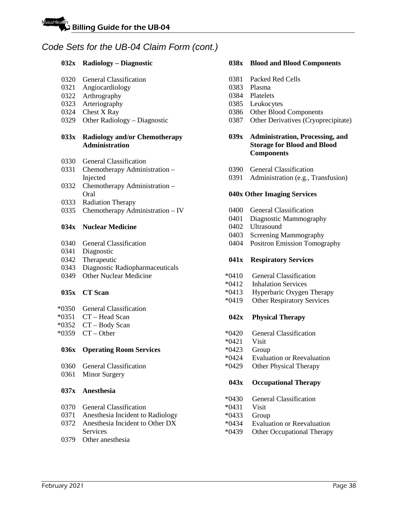### **032x Radiology – Diagnostic**

- 0320 General Classification
- 0321 Angiocardiology
- 0322 Arthrography
- 0323 Arteriography
- 0324 Chest X Ray
- 0329 Other Radiology Diagnostic

### **033x Radiology and/or Chemotherapy Administration**

- 0330 General Classification
- 0331 Chemotherapy Administration Injected
- 0332 Chemotherapy Administration Oral
- 0333 Radiation Therapy
- 0335 Chemotherapy Administration IV

### **034x Nuclear Medicine**

- 0340 General Classification
- 0341 Diagnostic
- 0342 Therapeutic
- 0343 Diagnostic Radiopharmaceuticals
- 0349 Other Nuclear Medicine

### **035x CT Scan**

- \*0350 General Classification
- \*0351 CT Head Scan
- \*0352 CT Body Scan
- $*0359$  CT Other

### **036x Operating Room Services**

- 0360 General Classification
- 0361 Minor Surgery

### **037x Anesthesia**

- 0370 General Classification
- 0371 Anesthesia Incident to Radiology
- 0372 Anesthesia Incident to Other DX **Services**
- 0379 Other anesthesia

### **038x Blood and Blood Components**

- 0381 Packed Red Cells
- 0383 Plasma
- 0384 Platelets
- 0385 Leukocytes
- 0386 Other Blood Components
- 0387 Other Derivatives (Cryoprecipitate)

### **039x Administration, Processing, and Storage for Blood and Blood Components**

- 0390 General Classification
- 0391 Administration (e.g., Transfusion)

### **040x Other Imaging Services**

- 0400 General Classification
- 0401 Diagnostic Mammography
- 0402 Ultrasound
- 0403 Screening Mammography
- 0404 Positron Emission Tomography

### **041x Respiratory Services**

- \*0410 General Classification
- \*0412 Inhalation Services
- \*0413 Hyperbaric Oxygen Therapy
- \*0419 Other Respiratory Services

### **042x Physical Therapy**

- \*0420 General Classification
- \*0421 Visit
- \*0423 Group
- \*0424 Evaluation or Reevaluation
- \*0429 Other Physical Therapy

### **043x Occupational Therapy**

- \*0430 General Classification
- \*0431 Visit
- \*0433 Group
- \*0434 Evaluation or Reevaluation
- \*0439 Other Occupational Therapy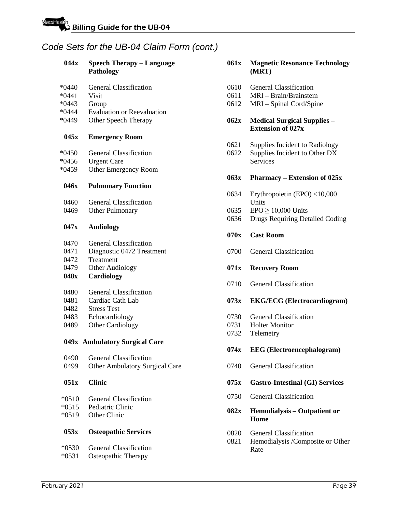| 044x    | <b>Speech Therapy – Language</b><br>Pathology |
|---------|-----------------------------------------------|
|         |                                               |
| *0440   | <b>General Classification</b>                 |
| $*0441$ | Visit                                         |
| $*0443$ | Group                                         |
| $*0444$ | <b>Evaluation or Reevaluation</b>             |
| *0449   | Other Speech Therapy                          |
| 045x    | <b>Emergency Room</b>                         |
| *0450   | <b>General Classification</b>                 |
| $*0456$ | <b>Urgent Care</b>                            |
| *0459   | Other Emergency Room                          |
| 046x    | <b>Pulmonary Function</b>                     |
| 0460    | <b>General Classification</b>                 |
| 0469    | <b>Other Pulmonary</b>                        |
| 047x    | <b>Audiology</b>                              |
| 0470    | <b>General Classification</b>                 |
| 0471    | Diagnostic 0472 Treatment                     |
| 0472    | Treatment                                     |
| 0479    | <b>Other Audiology</b>                        |
| 048x    | Cardiology                                    |
| 0480    | <b>General Classification</b>                 |
| 0481    | Cardiac Cath Lab                              |
| 0482    | <b>Stress Test</b>                            |
| 0483    | Echocardiology                                |
| 0489    | <b>Other Cardiology</b>                       |
|         | 049x Ambulatory Surgical Care                 |
| 0490    | <b>General Classification</b>                 |
| 0499    | <b>Other Ambulatory Surgical Care</b>         |
| 051x    | <b>Clinic</b>                                 |
| *0510   | <b>General Classification</b>                 |
| $*0515$ | Pediatric Clinic                              |
| $*0519$ | Other Clinic                                  |
| 053x    | <b>Osteopathic Services</b>                   |
| $*0530$ | <b>General Classification</b>                 |
| $*0531$ | <b>Osteopathic Therapy</b>                    |
|         |                                               |

| 061x                 | <b>Magnetic Resonance Technology</b><br>(MRT)                                      |  |
|----------------------|------------------------------------------------------------------------------------|--|
| 0610<br>0611<br>0612 | <b>General Classification</b><br>MRI - Brain/Brainstem<br>MRI – Spinal Cord/Spine  |  |
| 062x                 | <b>Medical Surgical Supplies –</b><br><b>Extension of 027x</b>                     |  |
| 0621<br>0622         | Supplies Incident to Radiology<br>Supplies Incident to Other DX<br><b>Services</b> |  |
| 063x                 | <b>Pharmacy - Extension of 025x</b>                                                |  |
| 0634                 | Erythropoietin (EPO) <10,000<br>Units                                              |  |
| 0635<br>0636         | $EPO \ge 10,000$ Units<br><b>Drugs Requiring Detailed Coding</b>                   |  |
| 070x                 | <b>Cast Room</b>                                                                   |  |
| 0700                 | <b>General Classification</b>                                                      |  |
| 071x                 | <b>Recovery Room</b>                                                               |  |
| 0710                 | <b>General Classification</b>                                                      |  |
| 073x                 | <b>EKG/ECG</b> (Electrocardiogram)                                                 |  |
| 0730<br>0731<br>0732 | <b>General Classification</b><br><b>Holter Monitor</b><br>Telemetry                |  |
| 074x                 | <b>EEG</b> (Electroencephalogram)                                                  |  |
| 0740                 | <b>General Classification</b>                                                      |  |
| 075x                 | <b>Gastro-Intestinal (GI) Services</b>                                             |  |
| 0750                 | <b>General Classification</b>                                                      |  |
| 082x                 | <b>Hemodialysis – Outpatient or</b><br>Home                                        |  |
| 0820<br>0821         | <b>General Classification</b><br>Hemodialysis /Composite or Other<br>Rate          |  |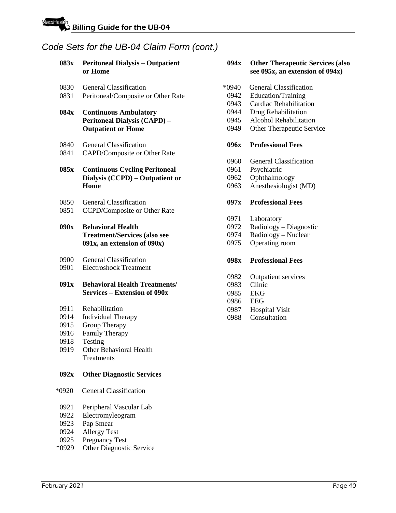| 083x         | <b>Peritoneal Dialysis - Outpatient</b><br>or Home            | 094x  | $\bf{0}$<br>se |
|--------------|---------------------------------------------------------------|-------|----------------|
| 0830         | <b>General Classification</b>                                 | *0940 | $\mathbf G$    |
| 0831         | Peritoneal/Composite or Other Rate                            | 0942  | E              |
|              |                                                               | 0943  | $\mathcal{C}$  |
| 084x         | <b>Continuous Ambulatory</b>                                  | 0944  | D              |
|              | <b>Peritoneal Dialysis (CAPD)</b> –                           | 0945  | A              |
|              | <b>Outpatient or Home</b>                                     | 0949  | $\mathbf{O}$   |
| 0840<br>0841 | <b>General Classification</b><br>CAPD/Composite or Other Rate | 096x  | ${\bf P}$      |
|              |                                                               | 0960  | G              |
| 085x         | <b>Continuous Cycling Peritoneal</b>                          | 0961  | $P_3$          |
|              | Dialysis (CCPD) – Outpatient or                               | 0962  | $\mathbf 0$    |
|              | Home                                                          | 0963  | $\overline{A}$ |
| 0850<br>0851 | <b>General Classification</b><br>CCPD/Composite or Other Rate | 097x  | ${\bf P}$      |
|              |                                                               | 0971  | L              |
| 090x         | <b>Behavioral Health</b>                                      | 0972  | $\mathbf R$    |
|              | <b>Treatment/Services (also see</b>                           | 0974  | $\mathbf R$    |
|              | 091x, an extension of 090x)                                   | 0975  | $\mathbf 0$    |
| 0900         | <b>General Classification</b>                                 | 098x  | ${\bf P}$      |
| 0901         | <b>Electroshock Treatment</b>                                 |       |                |
|              |                                                               | 0982  | $\rm{O}$       |
| 091x         | <b>Behavioral Health Treatments/</b>                          | 0983  | $\mathcal{C}$  |
|              | <b>Services – Extension of 090x</b>                           | 0985  | E              |
|              |                                                               | 0986  | E              |
| 0911         | Rehabilitation                                                | 0987  | H              |
| 0914         | <b>Individual Therapy</b>                                     | 0988  | $\mathcal{C}$  |
| 0915         | Group Therapy                                                 |       |                |
| 0916         | <b>Family Therapy</b>                                         |       |                |
| 0918         | Testing                                                       |       |                |
| 0919         | Other Behavioral Health                                       |       |                |
|              | Treatments                                                    |       |                |
| 092x         | <b>Other Diagnostic Services</b>                              |       |                |
| *0920        | <b>General Classification</b>                                 |       |                |
| 0921         | Peripheral Vascular Lab                                       |       |                |
| 0922         | Electromyleogram                                              |       |                |
| 0923         | Pap Smear                                                     |       |                |
| 0924         | <b>Allergy Test</b>                                           |       |                |
|              |                                                               |       |                |

- 0925 Pregnancy Test
- \*0929 Other Diagnostic Service

### **094x Other Therapeutic Services (also see 095x, an extension of 094x)**

| *0940 | <b>General Classification</b>         |
|-------|---------------------------------------|
| 0942  | Education/Training                    |
| 0943  | <b>Cardiac Rehabilitation</b>         |
| 0944  | Drug Rehabilitation                   |
| 0945  | <b>Alcohol Rehabilitation</b>         |
| 0949  | <b>Other Therapeutic Service</b>      |
| 096x  | <b>Professional Fees</b>              |
|       |                                       |
| 0960  | <b>General Classification</b>         |
| 0961  | Psychiatric                           |
| 0962  | Ophthalmology                         |
| 0963  | Anesthesiologist (MD)                 |
|       |                                       |
| 097x  | <b>Professional Fees</b>              |
| 0971  |                                       |
| 0972  | Laboratory                            |
| 0974  | Radiology - Diagnostic                |
| 0975  | Radiology - Nuclear<br>Operating room |
| 098x  | <b>Professional Fees</b>              |
|       |                                       |
| 0982  | <b>Outpatient services</b>            |
| 0983  | Clinic                                |
| 0985  | EKG                                   |

- **Iospital Visit**
- onsultation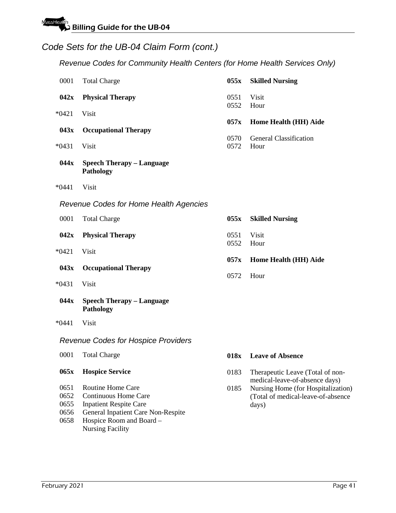<span id="page-42-0"></span>*Revenue Codes for Community Health Centers (for Home Health Services Only)*

<span id="page-42-1"></span>

| 0001                                 | <b>Total Charge</b>                                                                                                                                                            | 055x         | <b>Skilled Nursing</b>                                                                                              |  |
|--------------------------------------|--------------------------------------------------------------------------------------------------------------------------------------------------------------------------------|--------------|---------------------------------------------------------------------------------------------------------------------|--|
| 042x                                 | <b>Physical Therapy</b>                                                                                                                                                        | 0551         | Visit                                                                                                               |  |
| $*0421$                              | Visit                                                                                                                                                                          | 0552         | Hour                                                                                                                |  |
| 043x                                 | <b>Occupational Therapy</b>                                                                                                                                                    | 057x         | Home Health (HH) Aide                                                                                               |  |
| $*0431$                              | Visit                                                                                                                                                                          | 0570<br>0572 | <b>General Classification</b><br>Hour                                                                               |  |
| 044x                                 | <b>Speech Therapy – Language</b><br><b>Pathology</b>                                                                                                                           |              |                                                                                                                     |  |
| $*0441$                              | Visit                                                                                                                                                                          |              |                                                                                                                     |  |
|                                      | Revenue Codes for Home Health Agencies                                                                                                                                         |              |                                                                                                                     |  |
| 0001                                 | <b>Total Charge</b>                                                                                                                                                            | 055x         | <b>Skilled Nursing</b>                                                                                              |  |
| 042x                                 | <b>Physical Therapy</b>                                                                                                                                                        | 0551<br>0552 | Visit<br>Hour                                                                                                       |  |
| $*0421$                              | Visit                                                                                                                                                                          |              |                                                                                                                     |  |
| 043x                                 | <b>Occupational Therapy</b>                                                                                                                                                    | 057x         | Home Health (HH) Aide                                                                                               |  |
| Visit<br>$*0431$                     |                                                                                                                                                                                | 0572         | Hour                                                                                                                |  |
| 044x                                 | <b>Speech Therapy – Language</b><br>Pathology                                                                                                                                  |              |                                                                                                                     |  |
| $*0441$                              | Visit                                                                                                                                                                          |              |                                                                                                                     |  |
|                                      | <b>Revenue Codes for Hospice Providers</b>                                                                                                                                     |              |                                                                                                                     |  |
| 0001                                 | <b>Total Charge</b>                                                                                                                                                            | 018x         | <b>Leave of Absence</b>                                                                                             |  |
| 065x                                 | <b>Hospice Service</b>                                                                                                                                                         | 0183         | Therapeutic Leave (Total of non-                                                                                    |  |
| 0651<br>0652<br>0655<br>0656<br>0658 | Routine Home Care<br><b>Continuous Home Care</b><br><b>Inpatient Respite Care</b><br>General Inpatient Care Non-Respite<br>Hospice Room and Board -<br><b>Nursing Facility</b> | 0185         | medical-leave-of-absence days)<br>Nursing Home (for Hospitalization)<br>(Total of medical-leave-of-absence<br>days) |  |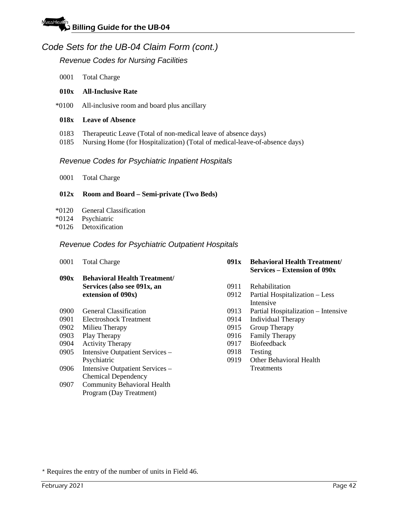<span id="page-43-0"></span>*Revenue Codes for Nursing Facilities*

0001 Total Charge

### **010x All-Inclusive Rate**

\*0100 All-inclusive room and board plus ancillary

### **018x Leave of Absence**

- 0183 Therapeutic Leave (Total of non-medical leave of absence days)
- 0185 Nursing Home (for Hospitalization) (Total of medical-leave-of-absence days)

### *Revenue Codes for Psychiatric Inpatient Hospitals*

0001 Total Charge

### **012x Room and Board – Semi-private (Two Beds)**

- \*0120 General Classification
- \*0124 Psychiatric
- \*0126 Detoxification

### *Revenue Codes for Psychiatric Outpatient Hospitals*

- 0001 Total Charge
- **090x Behavioral Health Treatment/ Services (also see 091x, an extension of 090x)**
- 0900 General Classification
- 0901 Electroshock Treatment
- 0902 Milieu Therapy<br>0903 Play Therapy
- Play Therapy
- 0904 Activity Therapy
- 0905 Intensive Outpatient Services Psychiatric
- 0906 Intensive Outpatient Services Chemical Dependency
- 0907 Community Behavioral Health Program (Day Treatment)

### <span id="page-43-2"></span><span id="page-43-1"></span>**091x Behavioral Health Treatment/ Services – Extension of 090x**

- 0911 Rehabilitation
- 0912 Partial Hospitalization Less Intensive
- 0913 Partial Hospitalization Intensive
- 0914 Individual Therapy
- 0915 Group Therapy
- 0916 Family Therapy<br>0917 Biofeedback
- **Biofeedback**
- 0918 Testing
- 0919 Other Behavioral Health **Treatments**

\* Requires the entry of the number of units in Field 46.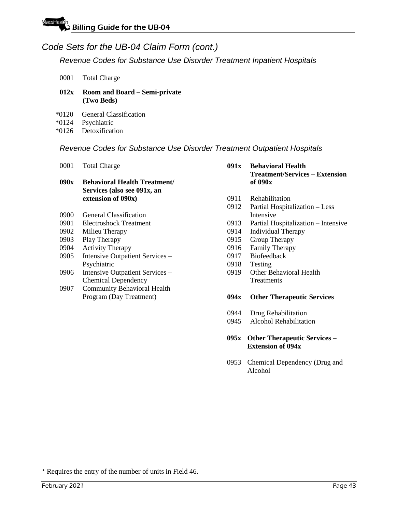*Revenue Codes for Substance Use Disorder Treatment Inpatient Hospitals*

- 0001 Total Charge
- **012x Room and Board – Semi-private (Two Beds)**
- \*0120 General Classification
- \*0124 Psychiatric
- \*0126 Detoxification

### *Revenue Codes for Substance Use Disorder Treatment Outpatient Hospitals*

- 0001 Total Charge
- **090x Behavioral Health Treatment/ Services (also see 091x, an extension of 090x)**
- 0900 General Classification
- 0901 Electroshock Treatment
- 0902 Milieu Therapy
- 0903 Play Therapy
- 0904 Activity Therapy
- 0905 Intensive Outpatient Services Psychiatric
- 0906 Intensive Outpatient Services Chemical Dependency
- 0907 Community Behavioral Health Program (Day Treatment)

### <span id="page-44-0"></span>**091x Behavioral Health Treatment/Services – Extension of 090x**

- 0911 Rehabilitation
- 0912 Partial Hospitalization Less Intensive
- 0913 Partial Hospitalization Intensive
- 0914 Individual Therapy
- 0915 Group Therapy
- 0916 Family Therapy
- 0917 Biofeedback<br>0918 Testing
- Testing
- 0919 Other Behavioral Health **Treatments**

#### **094x Other Therapeutic Services**

- 0944 Drug Rehabilitation<br>0945 Alcohol Rehabilitati
- Alcohol Rehabilitation

### **095x Other Therapeutic Services – Extension of 094x**

0953 Chemical Dependency (Drug and Alcohol

<sup>\*</sup> Requires the entry of the number of units in Field 46.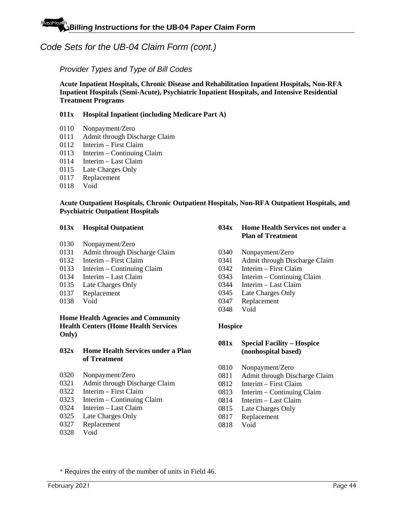### *Provider Types and Type of Bill Codes*

**Acute Inpatient Hospitals, Chronic Disease and Rehabilitation Inpatient Hospitals, Non-RFA Inpatient Hospitals (Semi-Acute), Psychiatric Inpatient Hospitals, and Intensive Residential Treatment Programs**

### **011x Hospital Inpatient (including Medicare Part A)**

- 0110 Nonpayment/Zero
- 0111 Admit through Discharge Claim
- 0112 Interim First Claim
- 0113 Interim Continuing Claim
- 0114 Interim Last Claim
- 0115 Late Charges Only
- 0117 Replacement<br>0118 Void
- $0118$

### **Acute Outpatient Hospitals, Chronic Outpatient Hospitals, Non-RFA Outpatient Hospitals, and Psychiatric Outpatient Hospitals**

### **013x Hospital Outpatient**

- 0130 Nonpayment/Zero
- 0131 Admit through Discharge Claim<br>0132 Interim First Claim
- Interim First Claim
- 0133 Interim Continuing Claim
- 0134 Interim Last Claim
- 0135 Late Charges Only
- 0137 Replacement
- 0138 Void

### **Home Health Agencies and Community Health Centers (Home Health Services Only)**

### **032x Home Health Services under a Plan of Treatment**

- 0320 Nonpayment/Zero
- 0321 Admit through Discharge Claim
- 0322 Interim First Claim<br>0323 Interim Continuing
- Interim Continuing Claim
- 0324 Interim Last Claim
- 0325 Late Charges Only
- 0327 Replacement
- 0328 Void

### **034x Home Health Services not under a Plan of Treatment**

- 0340 Nonpayment/Zero
- 0341 Admit through Discharge Claim
- 0342 Interim First Claim
- 0343 Interim Continuing Claim
- 0344 Interim Last Claim<br>0345 Late Charges Only
- Late Charges Only
- 0347 Replacement
- 0348 Void

### **Hospice**

### **081x Special Facility – Hospice (nonhospital based)**

- 0810 Nonpayment/Zero
- 0811 Admit through Discharge Claim
- 0812 Interim First Claim
- 0813 Interim Continuing Claim
- 0814 Interim Last Claim
- 0815 Late Charges Only
- 0817 Replacement
- 0818 Void

\* Requires the entry of the number of units in Field 46.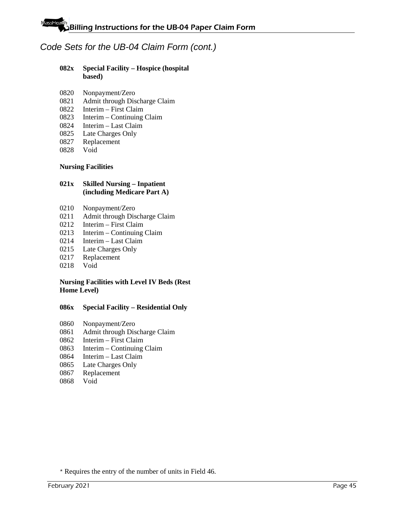### **082x Special Facility – Hospice (hospital based)**

- 0820 Nonpayment/Zero
- 0821 Admit through Discharge Claim
- 0822 Interim First Claim<br>0823 Interim Continuing
- Interim Continuing Claim
- 0824 Interim Last Claim
- 0825 Late Charges Only
- 0827 Replacement
- 0828 Void

### **Nursing Facilities**

### **021x Skilled Nursing – Inpatient (including Medicare Part A)**

- 0210 Nonpayment/Zero
- 0211 Admit through Discharge Claim
- 0212 Interim First Claim
- 0213 Interim Continuing Claim
- 0214 Interim Last Claim
- 0215 Late Charges Only
- 0217 Replacement
- 0218 Void

### **Nursing Facilities with Level IV Beds (Rest Home Level)**

### **086x Special Facility – Residential Only**

- 0860 Nonpayment/Zero
- 0861 Admit through Discharge Claim
- 0862 Interim First Claim
- 0863 Interim Continuing Claim
- 0864 Interim Last Claim
- 0865 Late Charges Only
- 0867 Replacement
- 0868 Void

<sup>\*</sup> Requires the entry of the number of units in Field 46.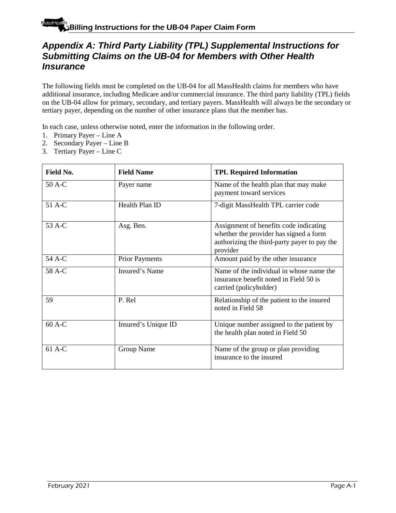## <span id="page-47-0"></span>*Appendix A: Third Party Liability (TPL) Supplemental Instructions for Submitting Claims on the UB-04 for Members with Other Health Insurance*

The following fields must be completed on the UB-04 for all MassHealth claims for members who have additional insurance, including Medicare and/or commercial insurance. The third party liability (TPL) fields on the UB-04 allow for primary, secondary, and tertiary payers. MassHealth will always be the secondary or tertiary payer, depending on the number of other insurance plans that the member has.

In each case, unless otherwise noted, enter the information in the following order.

- 1. Primary Payer Line A
- 2. Secondary Payer Line B
- 3. Tertiary Payer Line C

| Field No. | <b>Field Name</b>     | <b>TPL Required Information</b>                                                                                                              |
|-----------|-----------------------|----------------------------------------------------------------------------------------------------------------------------------------------|
| 50 A-C    | Payer name            | Name of the health plan that may make<br>payment toward services                                                                             |
| 51 A-C    | Health Plan ID        | 7-digit MassHealth TPL carrier code                                                                                                          |
| 53 A-C    | Asg. Ben.             | Assignment of benefits code indicating<br>whether the provider has signed a form<br>authorizing the third-party payer to pay the<br>provider |
| 54 A-C    | <b>Prior Payments</b> | Amount paid by the other insurance                                                                                                           |
| 58 A-C    | Insured's Name        | Name of the individual in whose name the<br>insurance benefit noted in Field 50 is<br>carried (policyholder)                                 |
| 59        | P. Rel                | Relationship of the patient to the insured<br>noted in Field 58                                                                              |
| $60A-C$   | Insured's Unique ID   | Unique number assigned to the patient by<br>the health plan noted in Field 50                                                                |
| 61 A-C    | Group Name            | Name of the group or plan providing<br>insurance to the insured                                                                              |